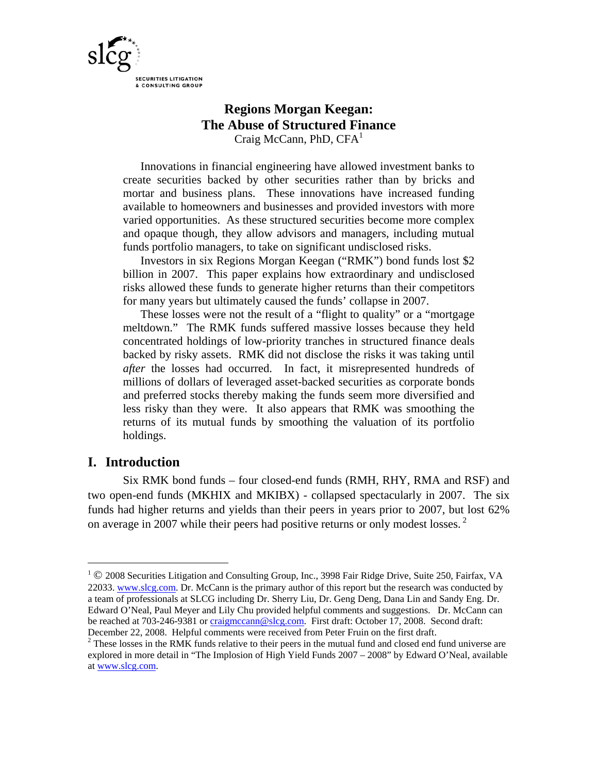

# **Regions Morgan Keegan: The Abuse of Structured Finance**  Craig McCann, PhD, CFA<sup>1</sup>

Innovations in financial engineering have allowed investment banks to create securities backed by other securities rather than by bricks and mortar and business plans. These innovations have increased funding available to homeowners and businesses and provided investors with more varied opportunities. As these structured securities become more complex and opaque though, they allow advisors and managers, including mutual funds portfolio managers, to take on significant undisclosed risks.

Investors in six Regions Morgan Keegan ("RMK") bond funds lost \$2 billion in 2007. This paper explains how extraordinary and undisclosed risks allowed these funds to generate higher returns than their competitors for many years but ultimately caused the funds' collapse in 2007.

These losses were not the result of a "flight to quality" or a "mortgage meltdown." The RMK funds suffered massive losses because they held concentrated holdings of low-priority tranches in structured finance deals backed by risky assets. RMK did not disclose the risks it was taking until *after* the losses had occurred. In fact, it misrepresented hundreds of millions of dollars of leveraged asset-backed securities as corporate bonds and preferred stocks thereby making the funds seem more diversified and less risky than they were. It also appears that RMK was smoothing the returns of its mutual funds by smoothing the valuation of its portfolio holdings.

# **I. Introduction**

 $\overline{a}$ 

Six RMK bond funds – four closed-end funds (RMH, RHY, RMA and RSF) and two open-end funds (MKHIX and MKIBX) - collapsed spectacularly in 2007. The six funds had higher returns and yields than their peers in years prior to 2007, but lost 62% on average in 2007 while their peers had positive returns or only modest losses.<sup>2</sup>

<sup>&</sup>lt;sup>1</sup> © 2008 Securities Litigation and Consulting Group, Inc., 3998 Fair Ridge Drive, Suite 250, Fairfax, VA 22033. www.slcg.com. Dr. McCann is the primary author of this report but the research was conducted by a team of professionals at SLCG including Dr. Sherry Liu, Dr. Geng Deng, Dana Lin and Sandy Eng. Dr. Edward O'Neal, Paul Meyer and Lily Chu provided helpful comments and suggestions. Dr. McCann can be reached at 703-246-9381 or craigmccann@slcg.com. First draft: October 17, 2008. Second draft: December 22, 2008. Helpful comments were received from Peter Fruin on the first draft.

 $2$  These losses in the RMK funds relative to their peers in the mutual fund and closed end fund universe are explored in more detail in "The Implosion of High Yield Funds 2007 – 2008" by Edward O'Neal, available at www.slcg.com.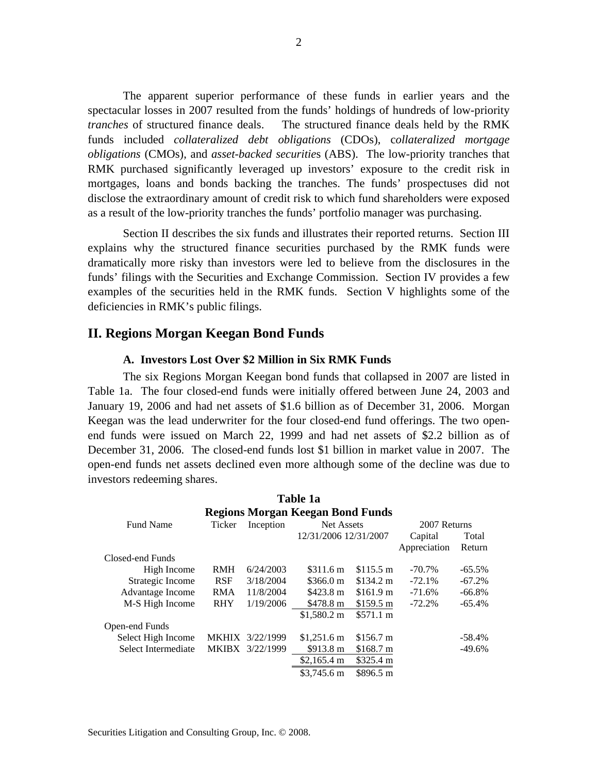The apparent superior performance of these funds in earlier years and the spectacular losses in 2007 resulted from the funds' holdings of hundreds of low-priority *tranches* of structured finance deals. The structured finance deals held by the RMK funds included *collateralized debt obligations* (CDOs), c*ollateralized mortgage obligations* (CMOs), and *asset-backed securitie*s (ABS). The low-priority tranches that RMK purchased significantly leveraged up investors' exposure to the credit risk in mortgages, loans and bonds backing the tranches. The funds' prospectuses did not disclose the extraordinary amount of credit risk to which fund shareholders were exposed as a result of the low-priority tranches the funds' portfolio manager was purchasing.

Section II describes the six funds and illustrates their reported returns. Section III explains why the structured finance securities purchased by the RMK funds were dramatically more risky than investors were led to believe from the disclosures in the funds' filings with the Securities and Exchange Commission. Section IV provides a few examples of the securities held in the RMK funds. Section V highlights some of the deficiencies in RMK's public filings.

## **II. Regions Morgan Keegan Bond Funds**

#### **A. Investors Lost Over \$2 Million in Six RMK Funds**

The six Regions Morgan Keegan bond funds that collapsed in 2007 are listed in Table 1a. The four closed-end funds were initially offered between June 24, 2003 and January 19, 2006 and had net assets of \$1.6 billion as of December 31, 2006. Morgan Keegan was the lead underwriter for the four closed-end fund offerings. The two openend funds were issued on March 22, 1999 and had net assets of \$2.2 billion as of December 31, 2006. The closed-end funds lost \$1 billion in market value in 2007. The open-end funds net assets declined even more although some of the decline was due to investors redeeming shares.

|                                         |              |                 | Table 1a              |                    |              |           |
|-----------------------------------------|--------------|-----------------|-----------------------|--------------------|--------------|-----------|
| <b>Regions Morgan Keegan Bond Funds</b> |              |                 |                       |                    |              |           |
| <b>Fund Name</b>                        | Ticker       | Inception       | Net Assets            |                    | 2007 Returns |           |
|                                         |              |                 | 12/31/2006 12/31/2007 |                    | Capital      | Total     |
|                                         |              |                 |                       |                    | Appreciation | Return    |
| Closed-end Funds                        |              |                 |                       |                    |              |           |
| High Income                             | <b>RMH</b>   | 6/24/2003       | \$311.6 m             | $$115.5 \text{ m}$ | $-70.7\%$    | $-65.5\%$ |
| Strategic Income                        | <b>RSF</b>   | 3/18/2004       | \$366.0 m             | \$134.2 m          | $-72.1%$     | $-67.2%$  |
| Advantage Income                        | <b>RMA</b>   | 11/8/2004       | $$423.8 \text{ m}$    | \$161.9 m          | $-71.6%$     | $-66.8%$  |
| M-S High Income                         | <b>RHY</b>   | 1/19/2006       | $$478.8 \text{ m}$    | $$159.5 \text{ m}$ | $-72.2%$     | $-65.4%$  |
|                                         |              |                 | $$1,580.2 \text{ m}$  | \$571.1 m          |              |           |
| Open-end Funds                          |              |                 |                       |                    |              |           |
| Select High Income                      | <b>MKHIX</b> | 3/22/1999       | \$1.251.6 m           | \$156.7 m          |              | $-58.4\%$ |
| Select Intermediate                     |              | MKIBX 3/22/1999 | $$913.8 \text{ m}$    | \$168.7 m          |              | $-49.6\%$ |
|                                         |              |                 | $$2,165.4 \text{ m}$  | \$325.4 m          |              |           |
|                                         |              |                 | $$3,745.6 \text{ m}$  | \$896.5 m          |              |           |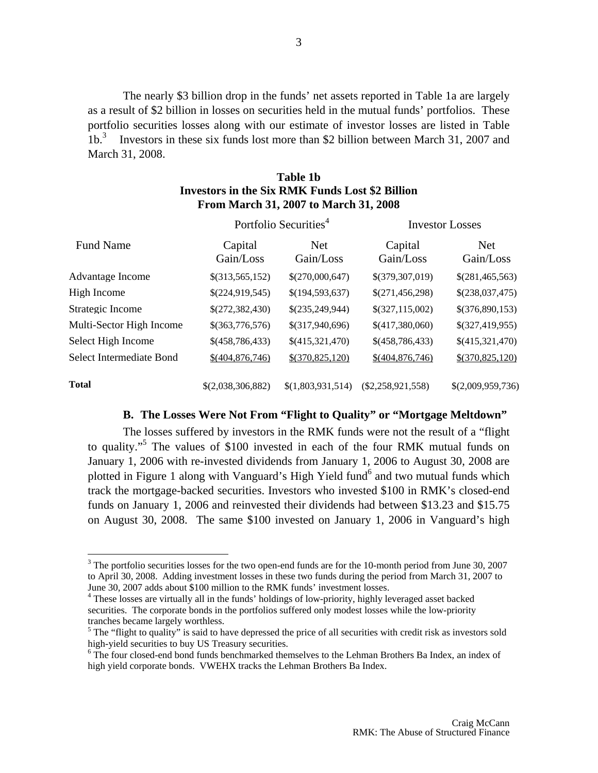The nearly \$3 billion drop in the funds' net assets reported in Table 1a are largely as a result of \$2 billion in losses on securities held in the mutual funds' portfolios. These portfolio securities losses along with our estimate of investor losses are listed in Table 1b.<sup>3</sup> Investors in these six funds lost more than \$2 billion between March 31, 2007 and March 31, 2008.

| Table 1b                                               |  |  |  |  |
|--------------------------------------------------------|--|--|--|--|
| <b>Investors in the Six RMK Funds Lost \$2 Billion</b> |  |  |  |  |
| From March 31, 2007 to March 31, 2008                  |  |  |  |  |

|                                 | Portfolio Securities <sup>4</sup> |                         | <b>Investor Losses</b> |                         |  |
|---------------------------------|-----------------------------------|-------------------------|------------------------|-------------------------|--|
| <b>Fund Name</b>                | Capital<br>Gain/Loss              | <b>Net</b><br>Gain/Loss | Capital<br>Gain/Loss   | <b>Net</b><br>Gain/Loss |  |
| <b>Advantage Income</b>         | \$(313,565,152)                   | \$(270,000,647)         | \$(379,307,019)        | \$(281,465,563)         |  |
| High Income                     | \$(224,919,545)                   | \$(194,593,637)         | \$(271,456,298)        | \$(238,037,475)         |  |
| <b>Strategic Income</b>         | \$(272,382,430)                   | \$(235,249,944)         | \$(327,115,002)        | \$(376,890,153)         |  |
| Multi-Sector High Income        | \$(363,776,576)                   | \$(317,940,696)         | \$(417,380,060)        | \$(327,419,955)         |  |
| Select High Income              | \$(458,786,433)                   | \$(415,321,470)         | \$(458,786,433)        | \$(415,321,470)         |  |
| <b>Select Intermediate Bond</b> | \$(404, 876, 746)                 | \$(370,825,120)         | \$(404,876,746)        | \$(370,825,120)         |  |
| Total                           | \$(2,038,306,882)                 | \$(1,803,931,514)       | $(\$2,258,921,558)$    | \$(2,009,959,736)       |  |

#### **B. The Losses Were Not From "Flight to Quality" or "Mortgage Meltdown"**

The losses suffered by investors in the RMK funds were not the result of a "flight to quality."5 The values of \$100 invested in each of the four RMK mutual funds on January 1, 2006 with re-invested dividends from January 1, 2006 to August 30, 2008 are plotted in Figure 1 along with Vanguard's High Yield fund<sup>6</sup> and two mutual funds which track the mortgage-backed securities. Investors who invested \$100 in RMK's closed-end funds on January 1, 2006 and reinvested their dividends had between \$13.23 and \$15.75 on August 30, 2008. The same \$100 invested on January 1, 2006 in Vanguard's high

 $3$  The portfolio securities losses for the two open-end funds are for the 10-month period from June 30, 2007 to April 30, 2008. Adding investment losses in these two funds during the period from March 31, 2007 to June 30, 2007 adds about \$100 million to the RMK funds' investment losses.

<sup>&</sup>lt;sup>4</sup> These losses are virtually all in the funds' holdings of low-priority, highly leveraged asset backed securities. The corporate bonds in the portfolios suffered only modest losses while the low-priority tranches became largely worthless.

 $<sup>5</sup>$  The "flight to quality" is said to have depressed the price of all securities with credit risk as investors sold</sup> high-yield securities to buy US Treasury securities.

<sup>&</sup>lt;sup>6</sup> The four closed-end bond funds benchmarked themselves to the Lehman Brothers Ba Index, an index of high yield corporate bonds. VWEHX tracks the Lehman Brothers Ba Index.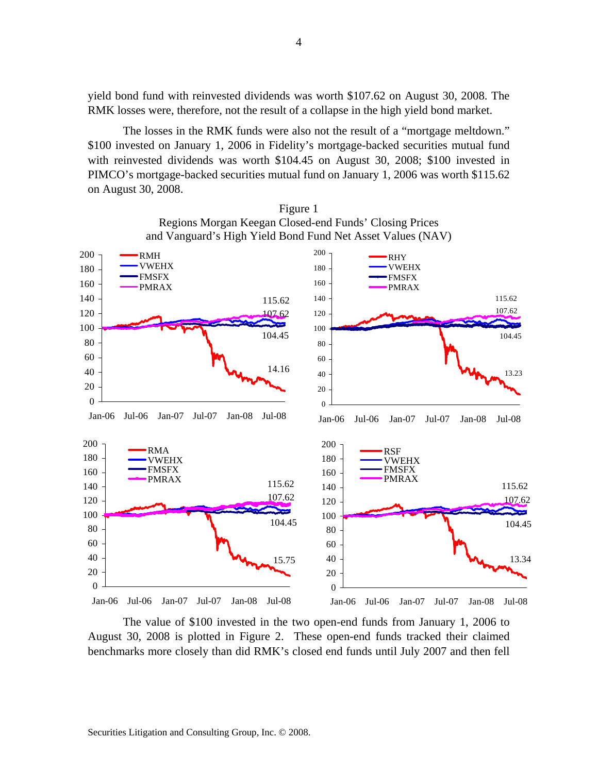yield bond fund with reinvested dividends was worth \$107.62 on August 30, 2008. The RMK losses were, therefore, not the result of a collapse in the high yield bond market.

The losses in the RMK funds were also not the result of a "mortgage meltdown." \$100 invested on January 1, 2006 in Fidelity's mortgage-backed securities mutual fund with reinvested dividends was worth \$104.45 on August 30, 2008; \$100 invested in PIMCO's mortgage-backed securities mutual fund on January 1, 2006 was worth \$115.62 on August 30, 2008.



The value of \$100 invested in the two open-end funds from January 1, 2006 to August 30, 2008 is plotted in Figure 2. These open-end funds tracked their claimed benchmarks more closely than did RMK's closed end funds until July 2007 and then fell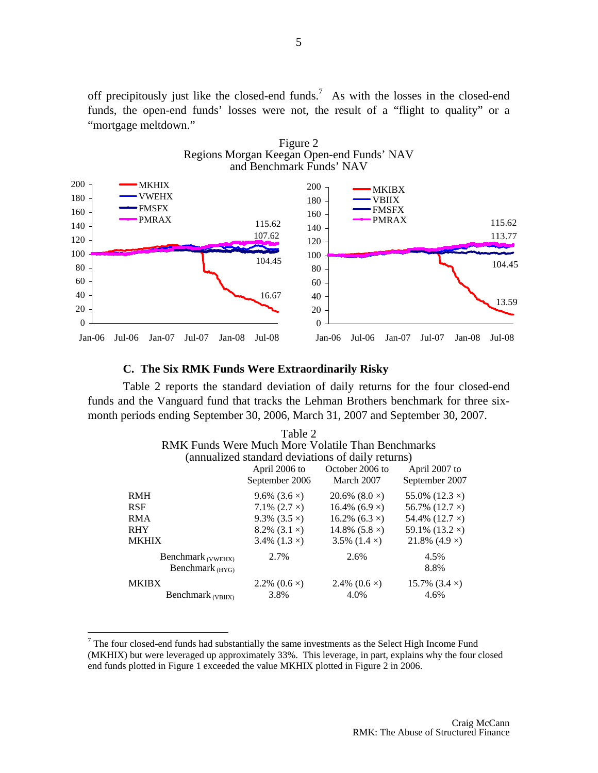off precipitously just like the closed-end funds.<sup>7</sup> As with the losses in the closed-end funds, the open-end funds' losses were not, the result of a "flight to quality" or a "mortgage meltdown."

Figure 2



#### **C. The Six RMK Funds Were Extraordinarily Risky**

Table 2 reports the standard deviation of daily returns for the four closed-end funds and the Vanguard fund that tracks the Lehman Brothers benchmark for three sixmonth periods ending September 30, 2006, March 31, 2007 and September 30, 2007.

|                                                   | Table 2             |                                                   |                       |
|---------------------------------------------------|---------------------|---------------------------------------------------|-----------------------|
| RMK Funds Were Much More Volatile Than Benchmarks |                     |                                                   |                       |
|                                                   |                     | (annualized standard deviations of daily returns) |                       |
|                                                   | April 2006 to       | October 2006 to                                   | April 2007 to         |
|                                                   | September 2006      | March 2007                                        | September 2007        |
| <b>RMH</b>                                        | 9.6% $(3.6 \times)$ | 20.6% $(8.0 \times)$                              | 55.0% $(12.3 \times)$ |
| <b>RSF</b>                                        | 7.1% $(2.7 \times)$ | 16.4% $(6.9 \times)$                              | 56.7% $(12.7 \times)$ |
| <b>RMA</b>                                        | 9.3% $(3.5 \times)$ | 16.2% $(6.3 \times)$                              | 54.4% $(12.7 \times)$ |
| <b>RHY</b>                                        | 8.2% $(3.1 \times)$ | 14.8% $(5.8 \times)$                              | 59.1% $(13.2 \times)$ |
| <b>MKHIX</b>                                      | 3.4% $(1.3 \times)$ | 3.5% $(1.4 \times)$                               | 21.8% $(4.9 \times)$  |
| Benchmark (VWEHX)<br>Benchmark $(HYG)$            | 2.7%                | 2.6%                                              | 4.5%<br>8.8%          |
| <b>MKIBX</b>                                      | 2.2% $(0.6 \times)$ | 2.4% $(0.6 \times)$                               | 15.7% $(3.4 \times)$  |
| Benchmark (VBIIX)                                 | 3.8%                | 4.0%                                              | 4.6%                  |

 $<sup>7</sup>$  The four closed-end funds had substantially the same investments as the Select High Income Fund</sup> (MKHIX) but were leveraged up approximately 33%. This leverage, in part, explains why the four closed end funds plotted in Figure 1 exceeded the value MKHIX plotted in Figure 2 in 2006.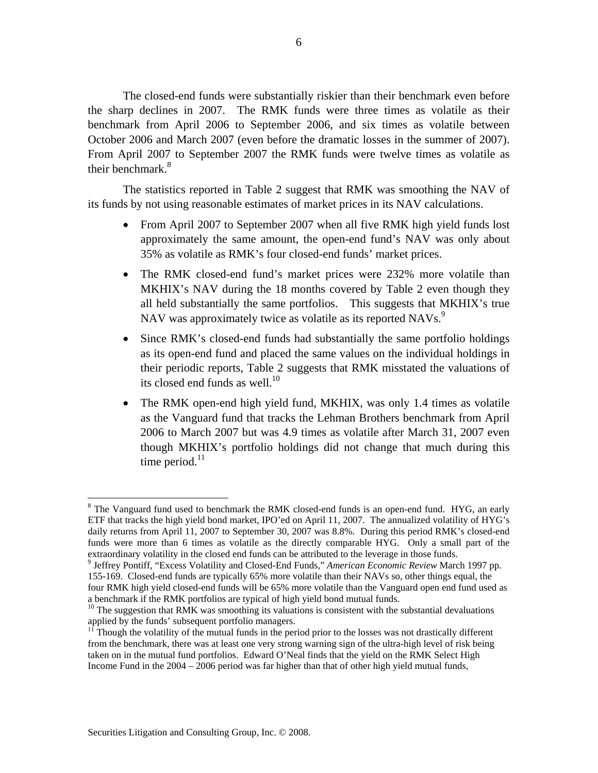The closed-end funds were substantially riskier than their benchmark even before the sharp declines in 2007. The RMK funds were three times as volatile as their benchmark from April 2006 to September 2006, and six times as volatile between October 2006 and March 2007 (even before the dramatic losses in the summer of 2007). From April 2007 to September 2007 the RMK funds were twelve times as volatile as their benchmark. $8<sup>8</sup>$ 

The statistics reported in Table 2 suggest that RMK was smoothing the NAV of its funds by not using reasonable estimates of market prices in its NAV calculations.

- From April 2007 to September 2007 when all five RMK high yield funds lost approximately the same amount, the open-end fund's NAV was only about 35% as volatile as RMK's four closed-end funds' market prices.
- The RMK closed-end fund's market prices were 232% more volatile than MKHIX's NAV during the 18 months covered by Table 2 even though they all held substantially the same portfolios. This suggests that MKHIX's true NAV was approximately twice as volatile as its reported NAVs.<sup>9</sup>
- Since RMK's closed-end funds had substantially the same portfolio holdings as its open-end fund and placed the same values on the individual holdings in their periodic reports, Table 2 suggests that RMK misstated the valuations of its closed end funds as well. $^{10}$
- The RMK open-end high yield fund, MKHIX, was only 1.4 times as volatile as the Vanguard fund that tracks the Lehman Brothers benchmark from April 2006 to March 2007 but was 4.9 times as volatile after March 31, 2007 even though MKHIX's portfolio holdings did not change that much during this time period. $^{11}$

 $8$  The Vanguard fund used to benchmark the RMK closed-end funds is an open-end fund. HYG, an early ETF that tracks the high yield bond market, IPO'ed on April 11, 2007. The annualized volatility of HYG's daily returns from April 11, 2007 to September 30, 2007 was 8.8%. During this period RMK's closed-end funds were more than 6 times as volatile as the directly comparable HYG. Only a small part of the extraordinary volatility in the closed end funds can be attributed to the leverage in those funds.

<sup>&</sup>lt;sup>9</sup> Jeffrey Pontiff, "Excess Volatility and Closed-End Funds," *American Economic Review March 1997 pp.* 155-169. Closed-end funds are typically 65% more volatile than their NAVs so, other things equal, the four RMK high yield closed-end funds will be 65% more volatile than the Vanguard open end fund used as a benchmark if the RMK portfolios are typical of high yield bond mutual funds.

 $10$  The suggestion that RMK was smoothing its valuations is consistent with the substantial devaluations applied by the funds' subsequent portfolio managers.

<sup>&</sup>lt;sup>11</sup> Though the volatility of the mutual funds in the period prior to the losses was not drastically different from the benchmark, there was at least one very strong warning sign of the ultra-high level of risk being taken on in the mutual fund portfolios. Edward O'Neal finds that the yield on the RMK Select High Income Fund in the  $2004 - 2006$  period was far higher than that of other high yield mutual funds,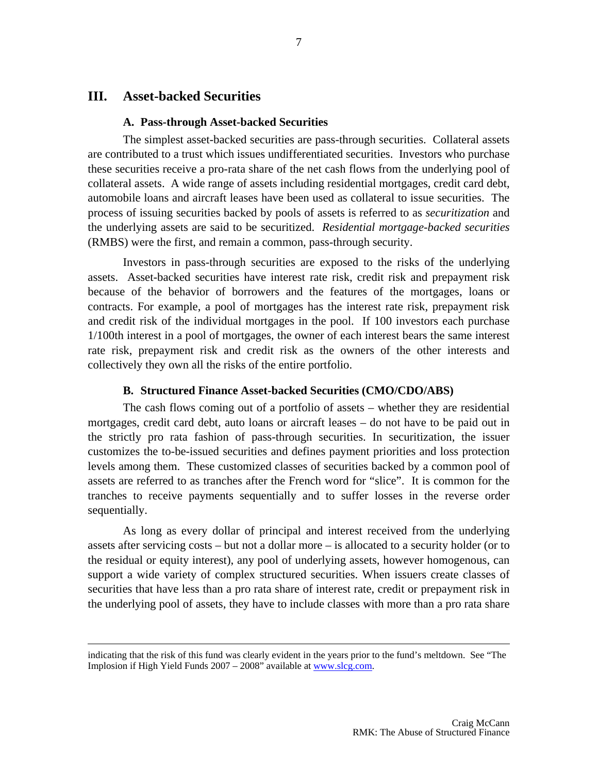# **III. Asset-backed Securities**

#### **A. Pass-through Asset-backed Securities**

The simplest asset-backed securities are pass-through securities. Collateral assets are contributed to a trust which issues undifferentiated securities. Investors who purchase these securities receive a pro-rata share of the net cash flows from the underlying pool of collateral assets. A wide range of assets including residential mortgages, credit card debt, automobile loans and aircraft leases have been used as collateral to issue securities. The process of issuing securities backed by pools of assets is referred to as *securitization* and the underlying assets are said to be securitized. *Residential mortgage-backed securities* (RMBS) were the first, and remain a common, pass-through security.

Investors in pass-through securities are exposed to the risks of the underlying assets. Asset-backed securities have interest rate risk, credit risk and prepayment risk because of the behavior of borrowers and the features of the mortgages, loans or contracts. For example, a pool of mortgages has the interest rate risk, prepayment risk and credit risk of the individual mortgages in the pool. If 100 investors each purchase 1/100th interest in a pool of mortgages, the owner of each interest bears the same interest rate risk, prepayment risk and credit risk as the owners of the other interests and collectively they own all the risks of the entire portfolio.

#### **B. Structured Finance Asset-backed Securities (CMO/CDO/ABS)**

The cash flows coming out of a portfolio of assets – whether they are residential mortgages, credit card debt, auto loans or aircraft leases – do not have to be paid out in the strictly pro rata fashion of pass-through securities. In securitization, the issuer customizes the to-be-issued securities and defines payment priorities and loss protection levels among them. These customized classes of securities backed by a common pool of assets are referred to as tranches after the French word for "slice". It is common for the tranches to receive payments sequentially and to suffer losses in the reverse order sequentially.

As long as every dollar of principal and interest received from the underlying assets after servicing costs – but not a dollar more – is allocated to a security holder (or to the residual or equity interest), any pool of underlying assets, however homogenous, can support a wide variety of complex structured securities. When issuers create classes of securities that have less than a pro rata share of interest rate, credit or prepayment risk in the underlying pool of assets, they have to include classes with more than a pro rata share

indicating that the risk of this fund was clearly evident in the years prior to the fund's meltdown. See "The Implosion if High Yield Funds 2007 – 2008" available at www.slcg.com.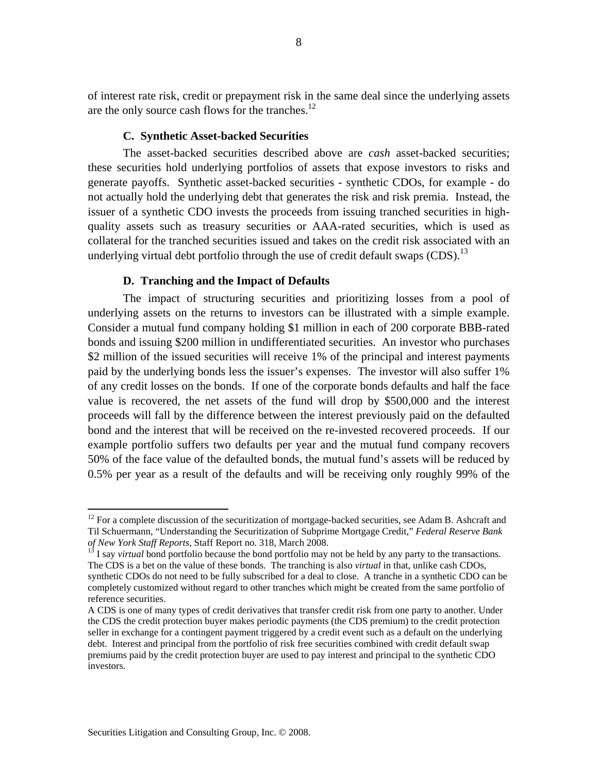of interest rate risk, credit or prepayment risk in the same deal since the underlying assets are the only source cash flows for the tranches. $^{12}$ 

#### **C. Synthetic Asset-backed Securities**

The asset-backed securities described above are *cash* asset-backed securities; these securities hold underlying portfolios of assets that expose investors to risks and generate payoffs. Synthetic asset-backed securities - synthetic CDOs, for example - do not actually hold the underlying debt that generates the risk and risk premia. Instead, the issuer of a synthetic CDO invests the proceeds from issuing tranched securities in highquality assets such as treasury securities or AAA-rated securities, which is used as collateral for the tranched securities issued and takes on the credit risk associated with an underlying virtual debt portfolio through the use of credit default swaps  $(CDS)$ .<sup>13</sup>

#### **D. Tranching and the Impact of Defaults**

The impact of structuring securities and prioritizing losses from a pool of underlying assets on the returns to investors can be illustrated with a simple example. Consider a mutual fund company holding \$1 million in each of 200 corporate BBB-rated bonds and issuing \$200 million in undifferentiated securities. An investor who purchases \$2 million of the issued securities will receive 1% of the principal and interest payments paid by the underlying bonds less the issuer's expenses. The investor will also suffer 1% of any credit losses on the bonds. If one of the corporate bonds defaults and half the face value is recovered, the net assets of the fund will drop by \$500,000 and the interest proceeds will fall by the difference between the interest previously paid on the defaulted bond and the interest that will be received on the re-invested recovered proceeds. If our example portfolio suffers two defaults per year and the mutual fund company recovers 50% of the face value of the defaulted bonds, the mutual fund's assets will be reduced by 0.5% per year as a result of the defaults and will be receiving only roughly 99% of the

 $12$  For a complete discussion of the securitization of mortgage-backed securities, see Adam B. Ashcraft and Til Schuermann, "Understanding the Securitization of Subprime Mortgage Credit," *Federal Reserve Bank of New York Staff Reports*, Staff Report no. 318, March 2008.<br><sup>13</sup> I say *virtual* bond portfolio because the bond portfolio may not be held by any party to the transactions.

The CDS is a bet on the value of these bonds. The tranching is also *virtual* in that, unlike cash CDOs, synthetic CDOs do not need to be fully subscribed for a deal to close. A tranche in a synthetic CDO can be completely customized without regard to other tranches which might be created from the same portfolio of reference securities.

A CDS is one of many types of credit derivatives that transfer credit risk from one party to another. Under the CDS the credit protection buyer makes periodic payments (the CDS premium) to the credit protection seller in exchange for a contingent payment triggered by a credit event such as a default on the underlying debt. Interest and principal from the portfolio of risk free securities combined with credit default swap premiums paid by the credit protection buyer are used to pay interest and principal to the synthetic CDO investors.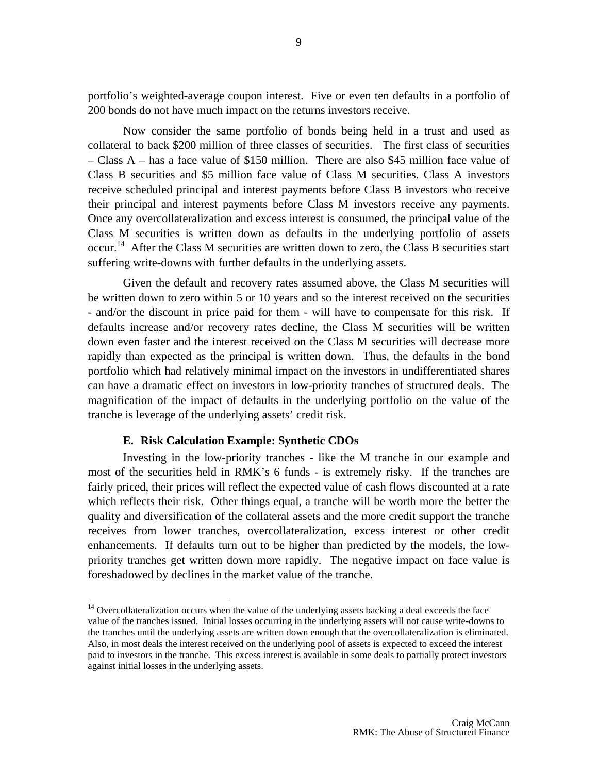portfolio's weighted-average coupon interest. Five or even ten defaults in a portfolio of 200 bonds do not have much impact on the returns investors receive.

Now consider the same portfolio of bonds being held in a trust and used as collateral to back \$200 million of three classes of securities. The first class of securities – Class A – has a face value of \$150 million. There are also \$45 million face value of Class B securities and \$5 million face value of Class M securities. Class A investors receive scheduled principal and interest payments before Class B investors who receive their principal and interest payments before Class M investors receive any payments. Once any overcollateralization and excess interest is consumed, the principal value of the Class M securities is written down as defaults in the underlying portfolio of assets occur.<sup>14</sup> After the Class M securities are written down to zero, the Class B securities start suffering write-downs with further defaults in the underlying assets.

Given the default and recovery rates assumed above, the Class M securities will be written down to zero within 5 or 10 years and so the interest received on the securities - and/or the discount in price paid for them - will have to compensate for this risk. If defaults increase and/or recovery rates decline, the Class M securities will be written down even faster and the interest received on the Class M securities will decrease more rapidly than expected as the principal is written down. Thus, the defaults in the bond portfolio which had relatively minimal impact on the investors in undifferentiated shares can have a dramatic effect on investors in low-priority tranches of structured deals. The magnification of the impact of defaults in the underlying portfolio on the value of the tranche is leverage of the underlying assets' credit risk.

## **E. Risk Calculation Example: Synthetic CDOs**

 $\overline{a}$ 

Investing in the low-priority tranches - like the M tranche in our example and most of the securities held in RMK's 6 funds - is extremely risky. If the tranches are fairly priced, their prices will reflect the expected value of cash flows discounted at a rate which reflects their risk. Other things equal, a tranche will be worth more the better the quality and diversification of the collateral assets and the more credit support the tranche receives from lower tranches, overcollateralization, excess interest or other credit enhancements. If defaults turn out to be higher than predicted by the models, the lowpriority tranches get written down more rapidly. The negative impact on face value is foreshadowed by declines in the market value of the tranche.

<sup>&</sup>lt;sup>14</sup> Overcollateralization occurs when the value of the underlying assets backing a deal exceeds the face value of the tranches issued. Initial losses occurring in the underlying assets will not cause write-downs to the tranches until the underlying assets are written down enough that the overcollateralization is eliminated. Also, in most deals the interest received on the underlying pool of assets is expected to exceed the interest paid to investors in the tranche. This excess interest is available in some deals to partially protect investors against initial losses in the underlying assets.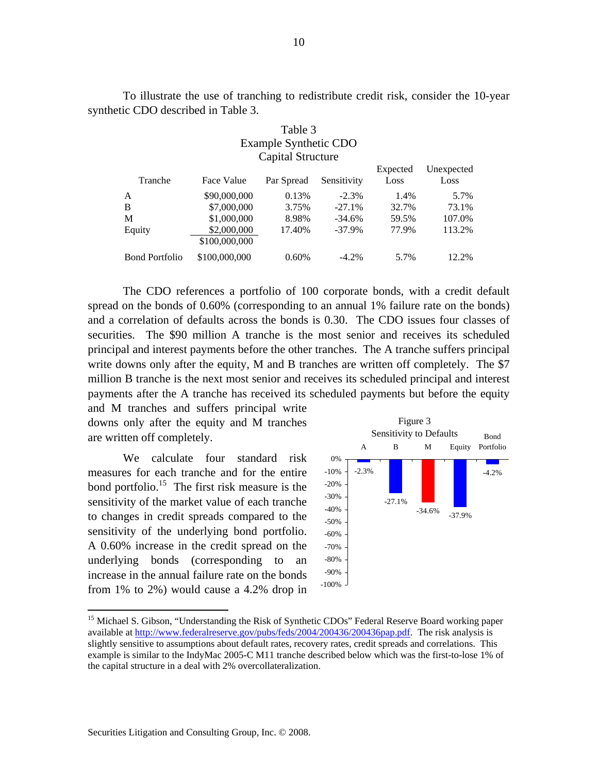To illustrate the use of tranching to redistribute credit risk, consider the 10-year synthetic CDO described in Table 3.

| Table 3               |                       |            |             |          |            |  |
|-----------------------|-----------------------|------------|-------------|----------|------------|--|
|                       | Example Synthetic CDO |            |             |          |            |  |
|                       | Capital Structure     |            |             |          |            |  |
|                       |                       |            |             | Expected | Unexpected |  |
| Tranche               | Face Value            | Par Spread | Sensitivity | Loss     | Loss       |  |
| A                     | \$90,000,000          | 0.13%      | $-2.3%$     | 1.4%     | 5.7%       |  |
| B                     | \$7,000,000           | 3.75%      | $-27.1%$    | 32.7%    | 73.1%      |  |
| M                     | \$1,000,000           | 8.98%      | $-34.6%$    | 59.5%    | 107.0%     |  |
| Equity                | \$2,000,000           | 17.40%     | $-37.9%$    | 77.9%    | 113.2%     |  |
|                       | \$100,000,000         |            |             |          |            |  |
| <b>Bond Portfolio</b> | \$100,000,000         | 0.60%      | $-4.2%$     | 5.7%     | 12.2%      |  |

The CDO references a portfolio of 100 corporate bonds, with a credit default spread on the bonds of 0.60% (corresponding to an annual 1% failure rate on the bonds) and a correlation of defaults across the bonds is 0.30. The CDO issues four classes of securities. The \$90 million A tranche is the most senior and receives its scheduled principal and interest payments before the other tranches. The A tranche suffers principal write downs only after the equity, M and B tranches are written off completely. The \$7 million B tranche is the next most senior and receives its scheduled principal and interest payments after the A tranche has received its scheduled payments but before the equity

and M tranches and suffers principal write downs only after the equity and M tranches are written off completely.

We calculate four standard risk measures for each tranche and for the entire bond portfolio.<sup>15</sup> The first risk measure is the sensitivity of the market value of each tranche to changes in credit spreads compared to the sensitivity of the underlying bond portfolio. A 0.60% increase in the credit spread on the underlying bonds (corresponding to an increase in the annual failure rate on the bonds from 1% to 2%) would cause a 4.2% drop in



<sup>&</sup>lt;sup>15</sup> Michael S. Gibson, "Understanding the Risk of Synthetic CDOs" Federal Reserve Board working paper available at http://www.federalreserve.gov/pubs/feds/2004/200436/200436pap.pdf. The risk analysis is slightly sensitive to assumptions about default rates, recovery rates, credit spreads and correlations. This example is similar to the IndyMac 2005-C M11 tranche described below which was the first-to-lose 1% of the capital structure in a deal with 2% overcollateralization.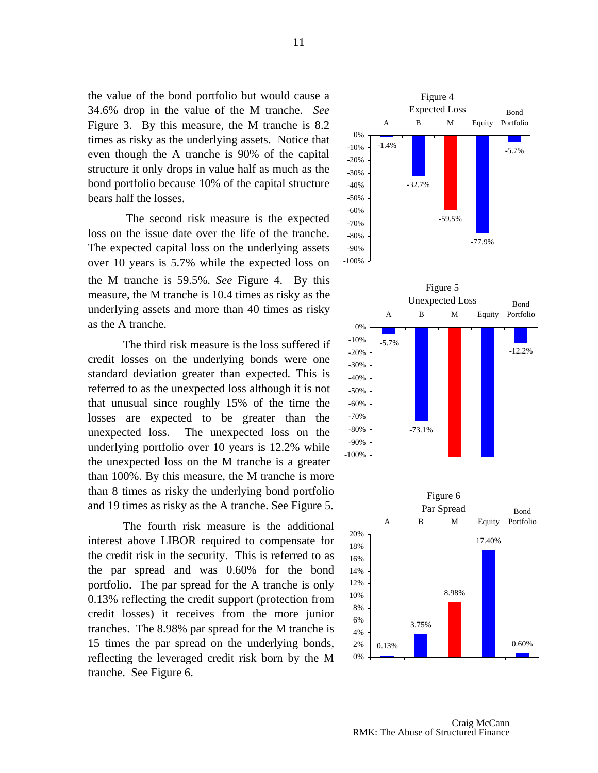the value of the bond portfolio but would cause a 34.6% drop in the value of the M tranche. *See* Figure 3. By this measure, the M tranche is 8.2 times as risky as the underlying assets. Notice that even though the A tranche is 90% of the capital structure it only drops in value half as much as the bond portfolio because 10% of the capital structure bears half the losses.

 The second risk measure is the expected loss on the issue date over the life of the tranche. The expected capital loss on the underlying assets over 10 years is 5.7% while the expected loss on the M tranche is 59.5%. *See* Figure 4. By this measure, the M tranche is 10.4 times as risky as the underlying assets and more than 40 times as risky as the A tranche.

The third risk measure is the loss suffered if credit losses on the underlying bonds were one standard deviation greater than expected. This is referred to as the unexpected loss although it is not that unusual since roughly 15% of the time the losses are expected to be greater than the unexpected loss. The unexpected loss on the underlying portfolio over 10 years is 12.2% while the unexpected loss on the M tranche is a greater than 100%. By this measure, the M tranche is more than 8 times as risky the underlying bond portfolio and 19 times as risky as the A tranche. See Figure 5.

The fourth risk measure is the additional interest above LIBOR required to compensate for the credit risk in the security. This is referred to as the par spread and was 0.60% for the bond portfolio. The par spread for the A tranche is only 0.13% reflecting the credit support (protection from credit losses) it receives from the more junior tranches. The 8.98% par spread for the M tranche is 15 times the par spread on the underlying bonds, reflecting the leveraged credit risk born by the M tranche. See Figure 6.

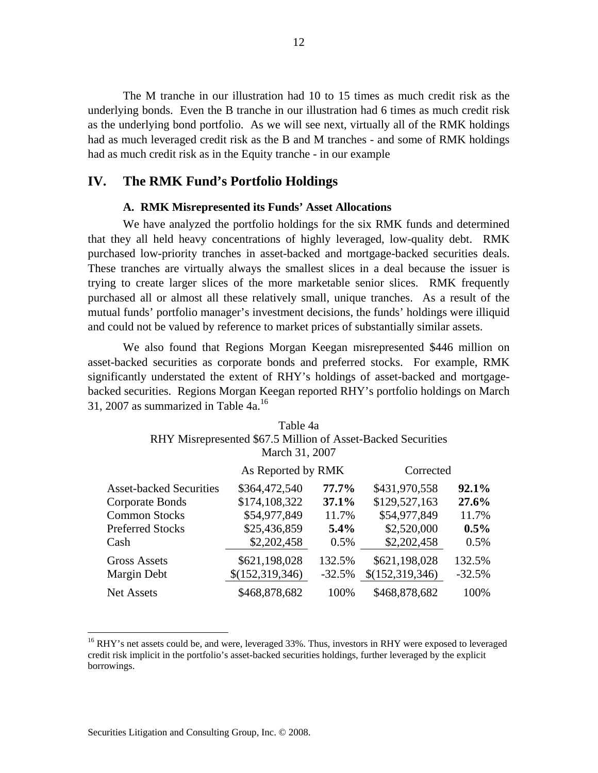The M tranche in our illustration had 10 to 15 times as much credit risk as the underlying bonds. Even the B tranche in our illustration had 6 times as much credit risk as the underlying bond portfolio. As we will see next, virtually all of the RMK holdings had as much leveraged credit risk as the B and M tranches - and some of RMK holdings had as much credit risk as in the Equity tranche - in our example

## **IV. The RMK Fund's Portfolio Holdings**

#### **A. RMK Misrepresented its Funds' Asset Allocations**

We have analyzed the portfolio holdings for the six RMK funds and determined that they all held heavy concentrations of highly leveraged, low-quality debt. RMK purchased low-priority tranches in asset-backed and mortgage-backed securities deals. These tranches are virtually always the smallest slices in a deal because the issuer is trying to create larger slices of the more marketable senior slices. RMK frequently purchased all or almost all these relatively small, unique tranches. As a result of the mutual funds' portfolio manager's investment decisions, the funds' holdings were illiquid and could not be valued by reference to market prices of substantially similar assets.

We also found that Regions Morgan Keegan misrepresented \$446 million on asset-backed securities as corporate bonds and preferred stocks. For example, RMK significantly understated the extent of RHY's holdings of asset-backed and mortgagebacked securities. Regions Morgan Keegan reported RHY's portfolio holdings on March 31, 2007 as summarized in Table  $4a^{16}$ .

|                                 | March 31, 2007  |          |                 |          |
|---------------------------------|-----------------|----------|-----------------|----------|
| As Reported by RMK<br>Corrected |                 |          |                 |          |
| <b>Asset-backed Securities</b>  | \$364,472,540   | $77.7\%$ | \$431,970,558   | 92.1%    |
| Corporate Bonds                 | \$174,108,322   | 37.1%    | \$129,527,163   | 27.6%    |
| <b>Common Stocks</b>            | \$54,977,849    | 11.7%    | \$54,977,849    | 11.7%    |
| <b>Preferred Stocks</b>         | \$25,436,859    | $5.4\%$  | \$2,520,000     | $0.5\%$  |
| Cash                            | \$2,202,458     | 0.5%     | \$2,202,458     | $0.5\%$  |
| <b>Gross Assets</b>             | \$621,198,028   | 132.5%   | \$621,198,028   | 132.5%   |
| Margin Debt                     | \$(152,319,346) | $-32.5%$ | \$(152,319,346) | $-32.5%$ |
| <b>Net Assets</b>               | \$468,878,682   | 100%     | \$468,878,682   | 100%     |

| Table 4a                                                     |
|--------------------------------------------------------------|
| RHY Misrepresented \$67.5 Million of Asset-Backed Securities |
| March 31, 2007                                               |

<sup>&</sup>lt;sup>16</sup> RHY's net assets could be, and were, leveraged 33%. Thus, investors in RHY were exposed to leveraged credit risk implicit in the portfolio's asset-backed securities holdings, further leveraged by the explicit borrowings.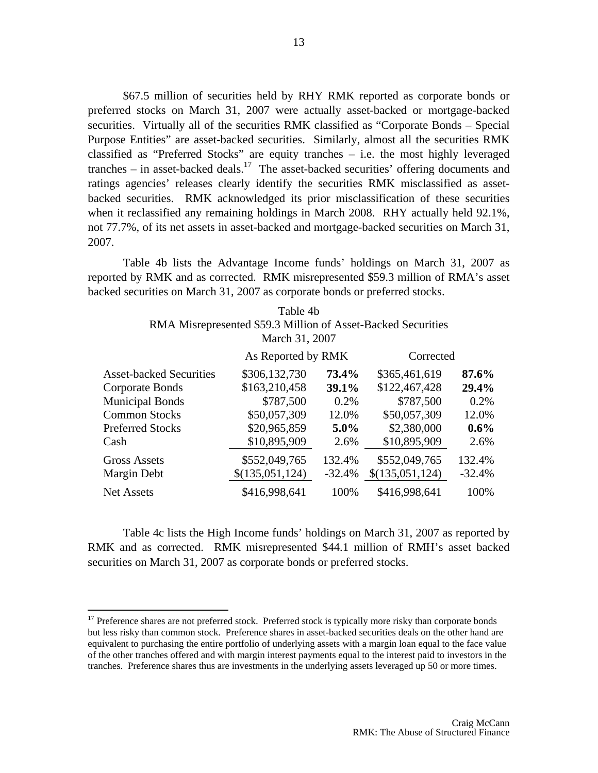\$67.5 million of securities held by RHY RMK reported as corporate bonds or preferred stocks on March 31, 2007 were actually asset-backed or mortgage-backed securities. Virtually all of the securities RMK classified as "Corporate Bonds – Special Purpose Entities" are asset-backed securities. Similarly, almost all the securities RMK classified as "Preferred Stocks" are equity tranches – i.e. the most highly leveraged tranches – in asset-backed deals.<sup>17</sup> The asset-backed securities' offering documents and ratings agencies' releases clearly identify the securities RMK misclassified as assetbacked securities. RMK acknowledged its prior misclassification of these securities when it reclassified any remaining holdings in March 2008. RHY actually held 92.1%, not 77.7%, of its net assets in asset-backed and mortgage-backed securities on March 31, 2007.

Table 4b lists the Advantage Income funds' holdings on March 31, 2007 as reported by RMK and as corrected. RMK misrepresented \$59.3 million of RMA's asset backed securities on March 31, 2007 as corporate bonds or preferred stocks.

|                                | $1$ and $+0$                                                 |          |                 |          |
|--------------------------------|--------------------------------------------------------------|----------|-----------------|----------|
|                                | RMA Misrepresented \$59.3 Million of Asset-Backed Securities |          |                 |          |
|                                | March 31, 2007                                               |          |                 |          |
|                                | As Reported by RMK                                           |          | Corrected       |          |
| <b>Asset-backed Securities</b> | \$306,132,730                                                | 73.4%    | \$365,461,619   | 87.6%    |
| Corporate Bonds                | \$163,210,458                                                | 39.1%    | \$122,467,428   | 29.4%    |
| <b>Municipal Bonds</b>         | \$787,500                                                    | 0.2%     | \$787,500       | 0.2%     |
| <b>Common Stocks</b>           | \$50,057,309                                                 | 12.0%    | \$50,057,309    | 12.0%    |
| <b>Preferred Stocks</b>        | \$20,965,859                                                 | $5.0\%$  | \$2,380,000     | $0.6\%$  |
| Cash                           | \$10,895,909                                                 | 2.6%     | \$10,895,909    | 2.6%     |
| Gross Assets                   | \$552,049,765                                                | 132.4%   | \$552,049,765   | 132.4%   |
| Margin Debt                    | \$(135,051,124)                                              | $-32.4%$ | \$(135,051,124) | $-32.4%$ |
| <b>Net Assets</b>              | \$416,998,641                                                | 100%     | \$416,998,641   | 100%     |

| Table 4b                                                     |
|--------------------------------------------------------------|
| RMA Misrepresented \$59.3 Million of Asset-Backed Securities |
| March 31, 2007                                               |

Table 4c lists the High Income funds' holdings on March 31, 2007 as reported by RMK and as corrected. RMK misrepresented \$44.1 million of RMH's asset backed securities on March 31, 2007 as corporate bonds or preferred stocks.

<sup>&</sup>lt;sup>17</sup> Preference shares are not preferred stock. Preferred stock is typically more risky than corporate bonds but less risky than common stock. Preference shares in asset-backed securities deals on the other hand are equivalent to purchasing the entire portfolio of underlying assets with a margin loan equal to the face value of the other tranches offered and with margin interest payments equal to the interest paid to investors in the tranches. Preference shares thus are investments in the underlying assets leveraged up 50 or more times.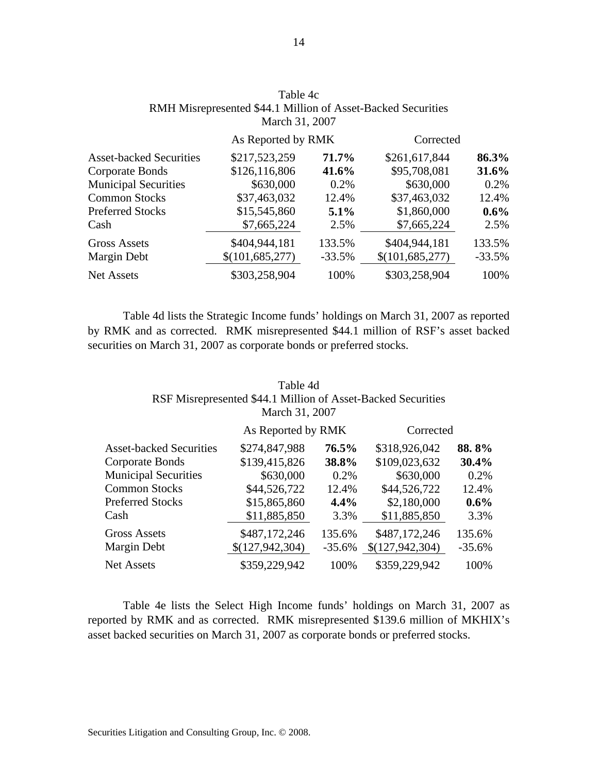|                                | March 31, 2007     |          |                   |          |
|--------------------------------|--------------------|----------|-------------------|----------|
|                                | As Reported by RMK |          | Corrected         |          |
| <b>Asset-backed Securities</b> | \$217,523,259      | 71.7%    | \$261,617,844     | 86.3%    |
| Corporate Bonds                | \$126,116,806      | 41.6%    | \$95,708,081      | 31.6%    |
| <b>Municipal Securities</b>    | \$630,000          | 0.2%     | \$630,000         | $0.2\%$  |
| <b>Common Stocks</b>           | \$37,463,032       | 12.4%    | \$37,463,032      | 12.4%    |
| <b>Preferred Stocks</b>        | \$15,545,860       | $5.1\%$  | \$1,860,000       | $0.6\%$  |
| Cash                           | \$7,665,224        | 2.5%     | \$7,665,224       | 2.5%     |
| <b>Gross Assets</b>            | \$404,944,181      | 133.5%   | \$404,944,181     | 133.5%   |
| Margin Debt                    | \$(101,685,277)    | $-33.5%$ | \$(101, 685, 277) | $-33.5%$ |
| <b>Net Assets</b>              | \$303,258,904      | 100%     | \$303,258,904     | 100%     |

| Table 4c                                                     |
|--------------------------------------------------------------|
| RMH Misrepresented \$44.1 Million of Asset-Backed Securities |
| March 31, 2007                                               |

Table 4d lists the Strategic Income funds' holdings on March 31, 2007 as reported by RMK and as corrected. RMK misrepresented \$44.1 million of RSF's asset backed securities on March 31, 2007 as corporate bonds or preferred stocks.

## Table 4d RSF Misrepresented \$44.1 Million of Asset-Backed Securities March 31, 2007

|                                | As Reported by RMK |          | Corrected       |          |  |
|--------------------------------|--------------------|----------|-----------------|----------|--|
| <b>Asset-backed Securities</b> | \$274,847,988      | 76.5%    | \$318,926,042   | 88.8%    |  |
| Corporate Bonds                | \$139,415,826      | 38.8%    | \$109,023,632   | 30.4%    |  |
| <b>Municipal Securities</b>    | \$630,000          | 0.2%     | \$630,000       | $0.2\%$  |  |
| <b>Common Stocks</b>           | \$44,526,722       | 12.4%    | \$44,526,722    | 12.4%    |  |
| <b>Preferred Stocks</b>        | \$15,865,860       | 4.4%     | \$2,180,000     | $0.6\%$  |  |
| Cash                           | \$11,885,850       | 3.3%     | \$11,885,850    | 3.3%     |  |
| <b>Gross Assets</b>            | \$487,172,246      | 135.6%   | \$487,172,246   | 135.6%   |  |
| Margin Debt                    | \$(127,942,304)    | $-35.6%$ | \$(127,942,304) | $-35.6%$ |  |
| Net Assets                     | \$359,229,942      | 100%     | \$359,229,942   | 100%     |  |

Table 4e lists the Select High Income funds' holdings on March 31, 2007 as reported by RMK and as corrected. RMK misrepresented \$139.6 million of MKHIX's asset backed securities on March 31, 2007 as corporate bonds or preferred stocks.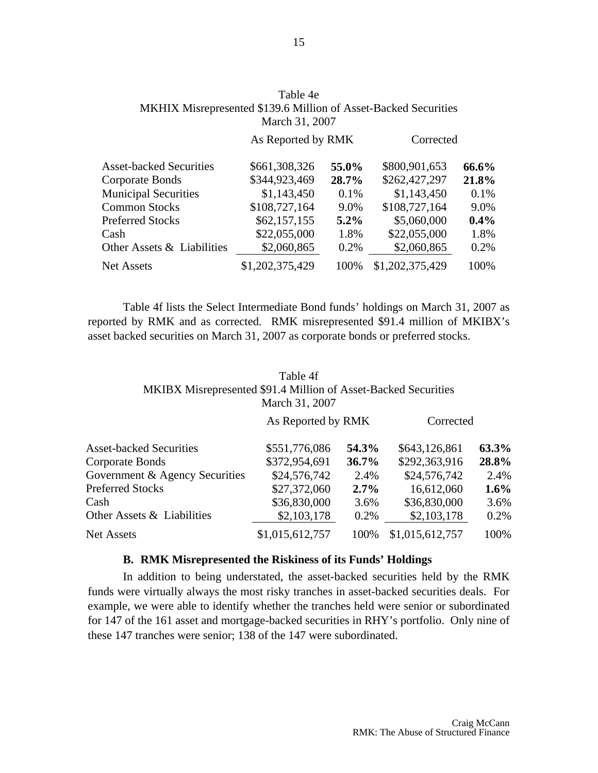| MKHIX Misrepresented \$139.6 Million of Asset-Backed Securities<br>March 31, 2007 |                    |         |                 |         |  |  |  |
|-----------------------------------------------------------------------------------|--------------------|---------|-----------------|---------|--|--|--|
|                                                                                   | As Reported by RMK |         | Corrected       |         |  |  |  |
| <b>Asset-backed Securities</b>                                                    | \$661,308,326      | 55.0%   | \$800,901,653   | 66.6%   |  |  |  |
| Corporate Bonds                                                                   | \$344,923,469      | 28.7%   | \$262,427,297   | 21.8%   |  |  |  |
| <b>Municipal Securities</b>                                                       | \$1,143,450        | 0.1%    | \$1,143,450     | 0.1%    |  |  |  |
| <b>Common Stocks</b>                                                              | \$108,727,164      | 9.0%    | \$108,727,164   | 9.0%    |  |  |  |
| <b>Preferred Stocks</b>                                                           | \$62,157,155       | $5.2\%$ | \$5,060,000     | $0.4\%$ |  |  |  |
| Cash                                                                              | \$22,055,000       | 1.8%    | \$22,055,000    | 1.8%    |  |  |  |
| Other Assets & Liabilities                                                        | \$2,060,865        | 0.2%    | \$2,060,865     | 0.2%    |  |  |  |
| <b>Net Assets</b>                                                                 | \$1,202,375,429    | 100%    | \$1,202,375,429 | 100%    |  |  |  |

Table 4f lists the Select Intermediate Bond funds' holdings on March 31, 2007 as reported by RMK and as corrected. RMK misrepresented \$91.4 million of MKIBX's asset backed securities on March 31, 2007 as corporate bonds or preferred stocks.

## Table 4f MKIBX Misrepresented \$91.4 Million of Asset-Backed Securities March 31, 2007

|                                | As Reported by RMK |         |                 | Corrected |  |
|--------------------------------|--------------------|---------|-----------------|-----------|--|
| <b>Asset-backed Securities</b> | \$551,776,086      | 54.3%   | \$643,126,861   | 63.3%     |  |
| Corporate Bonds                | \$372,954,691      | 36.7%   | \$292,363,916   | 28.8%     |  |
| Government & Agency Securities | \$24,576,742       | 2.4%    | \$24,576,742    | 2.4%      |  |
| <b>Preferred Stocks</b>        | \$27,372,060       | $2.7\%$ | 16,612,060      | 1.6%      |  |
| Cash                           | \$36,830,000       | 3.6%    | \$36,830,000    | 3.6%      |  |
| Other Assets & Liabilities     | \$2,103,178        | 0.2%    | \$2,103,178     | 0.2%      |  |
| <b>Net Assets</b>              | \$1,015,612,757    | 100%    | \$1,015,612,757 | 100%      |  |

## **B. RMK Misrepresented the Riskiness of its Funds' Holdings**

In addition to being understated, the asset-backed securities held by the RMK funds were virtually always the most risky tranches in asset-backed securities deals. For example, we were able to identify whether the tranches held were senior or subordinated for 147 of the 161 asset and mortgage-backed securities in RHY's portfolio. Only nine of these 147 tranches were senior; 138 of the 147 were subordinated.

Table 4e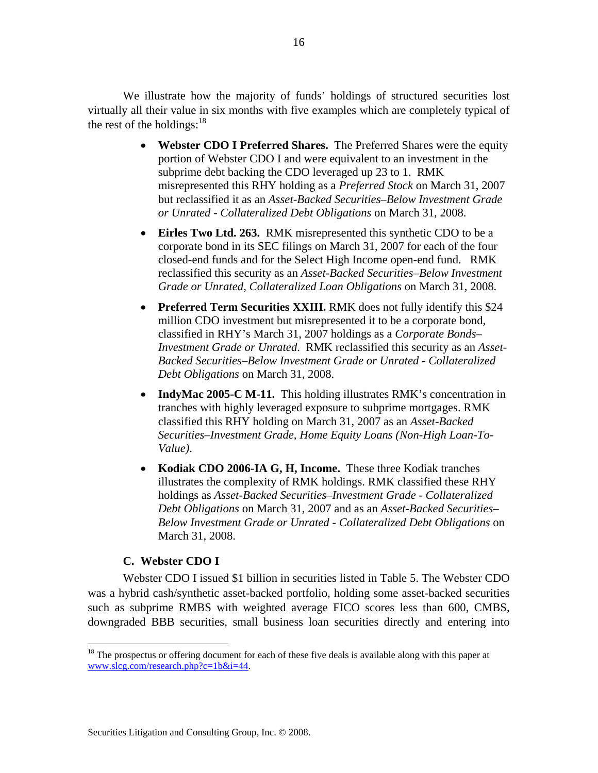We illustrate how the majority of funds' holdings of structured securities lost virtually all their value in six months with five examples which are completely typical of the rest of the holdings:  $18<sup>18</sup>$ 

- **Webster CDO I Preferred Shares.** The Preferred Shares were the equity portion of Webster CDO I and were equivalent to an investment in the subprime debt backing the CDO leveraged up 23 to 1. RMK misrepresented this RHY holding as a *Preferred Stock* on March 31, 2007 but reclassified it as an *Asset-Backed Securities–Below Investment Grade or Unrated - Collateralized Debt Obligations* on March 31, 2008.
- **Eirles Two Ltd. 263.** RMK misrepresented this synthetic CDO to be a corporate bond in its SEC filings on March 31, 2007 for each of the four closed-end funds and for the Select High Income open-end fund. RMK reclassified this security as an *Asset-Backed Securities–Below Investment Grade or Unrated, Collateralized Loan Obligations* on March 31, 2008.
- **Preferred Term Securities XXIII.** RMK does not fully identify this \$24 million CDO investment but misrepresented it to be a corporate bond, classified in RHY's March 31, 2007 holdings as a *Corporate Bonds– Investment Grade or Unrated*. RMK reclassified this security as an *Asset-Backed Securities–Below Investment Grade or Unrated - Collateralized Debt Obligations* on March 31, 2008.
- **IndyMac 2005-C M-11.** This holding illustrates RMK's concentration in tranches with highly leveraged exposure to subprime mortgages. RMK classified this RHY holding on March 31, 2007 as an *Asset-Backed Securities–Investment Grade, Home Equity Loans (Non-High Loan-To-Value)*.
- **Kodiak CDO 2006-IA G, H, Income.** These three Kodiak tranches illustrates the complexity of RMK holdings. RMK classified these RHY holdings as *Asset-Backed Securities–Investment Grade - Collateralized Debt Obligations* on March 31, 2007 and as an *Asset-Backed Securities– Below Investment Grade or Unrated - Collateralized Debt Obligations* on March 31, 2008.

## **C. Webster CDO I**

 $\overline{a}$ 

Webster CDO I issued \$1 billion in securities listed in Table 5. The Webster CDO was a hybrid cash/synthetic asset-backed portfolio, holding some asset-backed securities such as subprime RMBS with weighted average FICO scores less than 600, CMBS, downgraded BBB securities, small business loan securities directly and entering into

<sup>&</sup>lt;sup>18</sup> The prospectus or offering document for each of these five deals is available along with this paper at www.slcg.com/research.php?c=1b&i=44.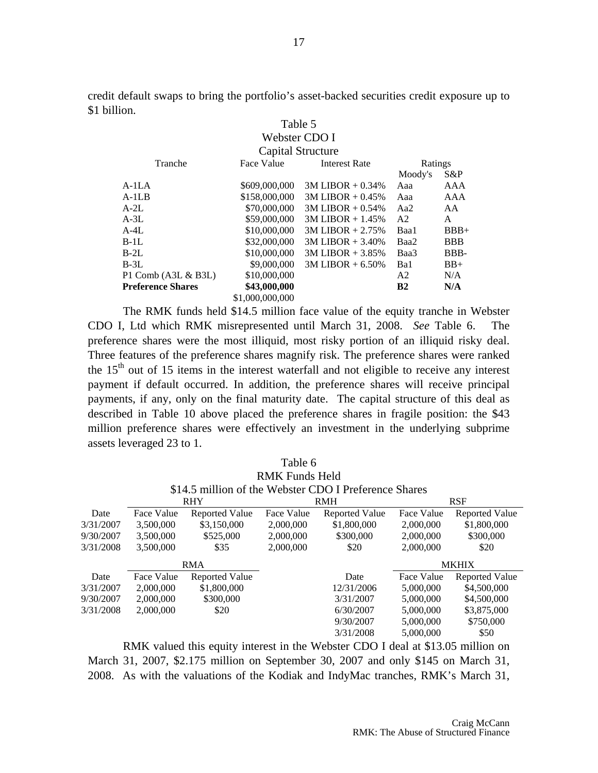credit default swaps to bring the portfolio's asset-backed securities credit exposure up to \$1 billion.

# Table 5 Webster CDO I

|                          | Capital Structure |                      |                |            |  |
|--------------------------|-------------------|----------------------|----------------|------------|--|
| Tranche                  | Face Value        | <b>Interest Rate</b> |                | Ratings    |  |
|                          |                   |                      | Moody's        | $S\&P$     |  |
| $A-1LA$                  | \$609,000,000     | $3M LIBOR + 0.34%$   | Aaa            | AAA        |  |
| $A-1LB$                  | \$158,000,000     | $3M LIBOR + 0.45\%$  | Aaa            | AAA        |  |
| $A-2L$                   | \$70,000,000      | $3M LIBOR + 0.54\%$  | Aa2            | AA         |  |
| $A-3L$                   | \$59,000,000      | $3M LIBOR + 1.45\%$  | A <sub>2</sub> | A          |  |
| $A-4L$                   | \$10,000,000      | $3M LIBOR + 2.75%$   | Baa1           | $BBB+$     |  |
| $B-1L$                   | \$32,000,000      | $3M LIBOR + 3.40\%$  | Baa2           | <b>BBB</b> |  |
| $B-2L$                   | \$10,000,000      | $3M LIBOR + 3.85\%$  | Baa3           | BBB-       |  |
| $B-3L$                   | \$9,000,000       | $3M LIBOR + 6.50\%$  | Ba1            | $BB+$      |  |
| P1 Comb $(A3L \& B3L)$   | \$10,000,000      |                      | A <sub>2</sub> | N/A        |  |
| <b>Preference Shares</b> | \$43,000,000      |                      | B <sub>2</sub> | N/A        |  |
|                          | \$1,000,000,000   |                      |                |            |  |

The RMK funds held \$14.5 million face value of the equity tranche in Webster CDO I, Ltd which RMK misrepresented until March 31, 2008. *See* Table 6. The preference shares were the most illiquid, most risky portion of an illiquid risky deal. Three features of the preference shares magnify risk. The preference shares were ranked the  $15<sup>th</sup>$  out of 15 items in the interest waterfall and not eligible to receive any interest payment if default occurred. In addition, the preference shares will receive principal payments, if any, only on the final maturity date. The capital structure of this deal as described in Table 10 above placed the preference shares in fragile position: the \$43 million preference shares were effectively an investment in the underlying subprime assets leveraged 23 to 1.

|            |                       |                                                       | Table 6    |                       |              |                |
|------------|-----------------------|-------------------------------------------------------|------------|-----------------------|--------------|----------------|
|            | <b>RMK Funds Held</b> |                                                       |            |                       |              |                |
|            |                       | \$14.5 million of the Webster CDO I Preference Shares |            |                       |              |                |
|            |                       | <b>RHY</b>                                            |            | <b>RMH</b>            |              | <b>RSF</b>     |
| Date       | Face Value            | Reported Value                                        | Face Value | <b>Reported Value</b> | Face Value   | Reported Value |
| 3/31/2007  | 3,500,000             | \$3,150,000                                           | 2,000,000  | \$1,800,000           | 2,000,000    | \$1,800,000    |
| 9/30/2007  | 3,500,000             | \$525,000                                             | 2,000,000  | \$300,000             | 2,000,000    | \$300,000      |
| 3/31/2008  | 3,500,000             | \$35                                                  | 2,000,000  | \$20                  | 2,000,000    | \$20           |
| <b>RMA</b> |                       |                                                       |            |                       | <b>MKHIX</b> |                |
| Date       | Face Value            | Reported Value                                        |            | Date                  | Face Value   | Reported Value |
| 3/31/2007  | 2,000,000             | \$1,800,000                                           |            | 12/31/2006            | 5,000,000    | \$4,500,000    |
| 9/30/2007  | 2,000,000             | \$300,000                                             |            | 3/31/2007             | 5,000,000    | \$4,500,000    |
| 3/31/2008  | 2,000,000             | \$20                                                  |            | 6/30/2007             | 5,000,000    | \$3,875,000    |
|            |                       |                                                       |            | 9/30/2007             | 5,000,000    | \$750,000      |
|            |                       |                                                       |            | 3/31/2008             | 5,000,000    | \$50           |

RMK valued this equity interest in the Webster CDO I deal at \$13.05 million on March 31, 2007, \$2.175 million on September 30, 2007 and only \$145 on March 31, 2008. As with the valuations of the Kodiak and IndyMac tranches, RMK's March 31,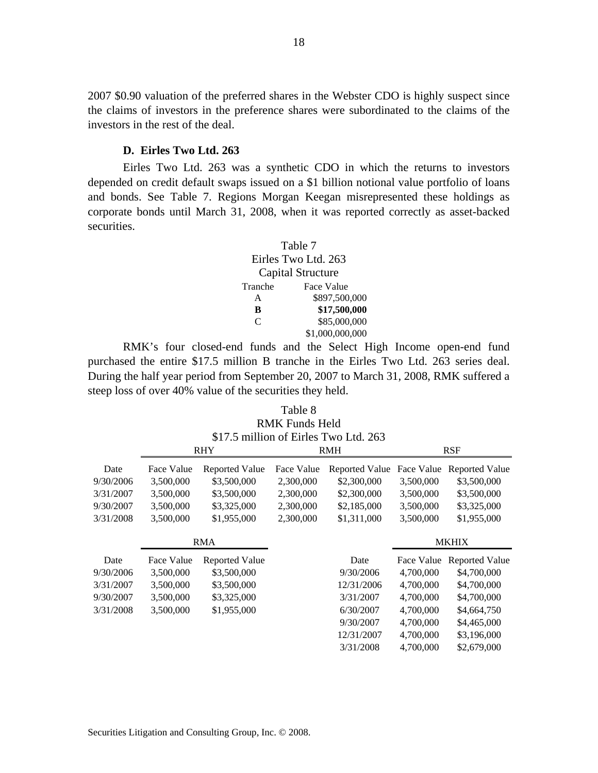2007 \$0.90 valuation of the preferred shares in the Webster CDO is highly suspect since the claims of investors in the preference shares were subordinated to the claims of the investors in the rest of the deal.

## **D. Eirles Two Ltd. 263**

Eirles Two Ltd. 263 was a synthetic CDO in which the returns to investors depended on credit default swaps issued on a \$1 billion notional value portfolio of loans and bonds. See Table 7. Regions Morgan Keegan misrepresented these holdings as corporate bonds until March 31, 2008, when it was reported correctly as asset-backed securities.

| Table 7                     |                 |  |  |
|-----------------------------|-----------------|--|--|
| Eirles Two Ltd. 263         |                 |  |  |
| Capital Structure           |                 |  |  |
| Tranche                     | Face Value      |  |  |
| A                           | \$897,500,000   |  |  |
| B                           | \$17,500,000    |  |  |
| $\mathcal{C}_{\mathcal{C}}$ | \$85,000,000    |  |  |
|                             | \$1,000,000,000 |  |  |

RMK's four closed-end funds and the Select High Income open-end fund purchased the entire \$17.5 million B tranche in the Eirles Two Ltd. 263 series deal. During the half year period from September 20, 2007 to March 31, 2008, RMK suffered a steep loss of over 40% value of the securities they held.

| Table 8                               |
|---------------------------------------|
| RMK Funds Held                        |
| \$17.5 million of Eirles Two Ltd. 263 |

|           |            |                       |            | $\psi$ 17.9 minivii ol Enivo 1 wo Etu. 209 |            |                       |
|-----------|------------|-----------------------|------------|--------------------------------------------|------------|-----------------------|
|           |            | <b>RHY</b>            |            | <b>RMH</b>                                 |            | <b>RSF</b>            |
| Date      | Face Value | <b>Reported Value</b> | Face Value | <b>Reported Value</b>                      | Face Value | <b>Reported Value</b> |
| 9/30/2006 | 3,500,000  | \$3,500,000           | 2,300,000  | \$2,300,000                                | 3,500,000  | \$3,500,000           |
| 3/31/2007 | 3,500,000  | \$3,500,000           | 2,300,000  | \$2,300,000                                | 3,500,000  | \$3,500,000           |
| 9/30/2007 | 3,500,000  | \$3,325,000           | 2,300,000  | \$2,185,000                                | 3,500,000  | \$3,325,000           |
| 3/31/2008 | 3,500,000  | \$1,955,000           | 2,300,000  | \$1,311,000                                | 3,500,000  | \$1,955,000           |
|           |            |                       |            |                                            |            | <b>MKHIX</b>          |
|           |            | <b>RMA</b>            |            |                                            |            |                       |
| Date      | Face Value | <b>Reported Value</b> |            | Date                                       | Face Value | <b>Reported Value</b> |
| 9/30/2006 | 3,500,000  | \$3,500,000           |            | 9/30/2006                                  | 4,700,000  | \$4,700,000           |
| 3/31/2007 | 3,500,000  | \$3,500,000           |            | 12/31/2006                                 | 4,700,000  | \$4,700,000           |
| 9/30/2007 | 3,500,000  | \$3,325,000           |            | 3/31/2007                                  | 4,700,000  | \$4,700,000           |
| 3/31/2008 | 3,500,000  | \$1,955,000           |            | 6/30/2007                                  | 4,700,000  | \$4,664,750           |
|           |            |                       |            | 9/30/2007                                  | 4,700,000  | \$4,465,000           |
|           |            |                       |            | 12/31/2007                                 | 4,700,000  | \$3,196,000           |
|           |            |                       |            | 3/31/2008                                  | 4,700,000  | \$2,679,000           |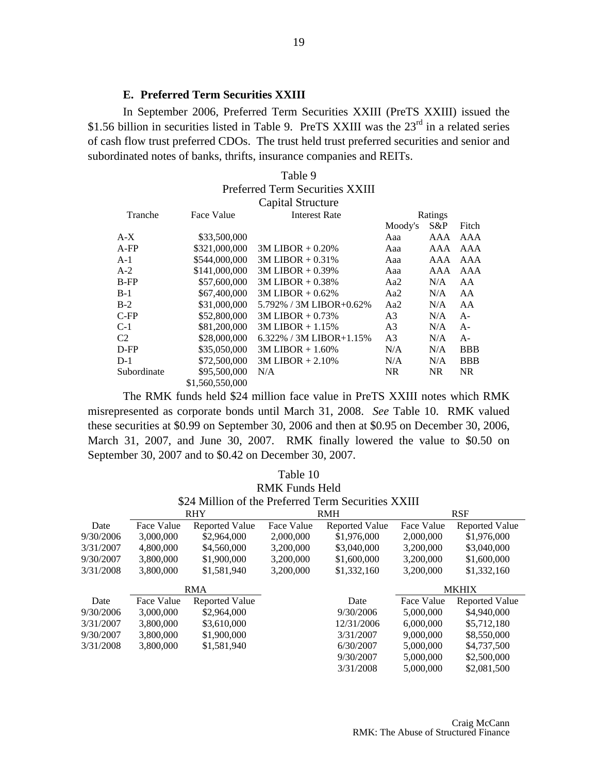## **E. Preferred Term Securities XXIII**

In September 2006, Preferred Term Securities XXIII (PreTS XXIII) issued the \$1.56 billion in securities listed in Table 9. PreTS XXIII was the  $23<sup>rd</sup>$  in a related series of cash flow trust preferred CDOs. The trust held trust preferred securities and senior and subordinated notes of banks, thrifts, insurance companies and REITs.

|                                 |                 | Table 9                    |                |         |            |  |  |
|---------------------------------|-----------------|----------------------------|----------------|---------|------------|--|--|
| Preferred Term Securities XXIII |                 |                            |                |         |            |  |  |
|                                 |                 | Capital Structure          |                |         |            |  |  |
| Tranche                         | Face Value      | <b>Interest Rate</b>       |                | Ratings |            |  |  |
|                                 |                 |                            | Moody's        | $S\&P$  | Fitch      |  |  |
| A-X                             | \$33,500,000    |                            | Aaa            | AAA     | AAA        |  |  |
| A-FP                            | \$321,000,000   | $3M LIBOR + 0.20\%$        | Aaa            | AAA     | AAA        |  |  |
| A-1                             | \$544,000,000   | $3M LIBOR + 0.31\%$        | Aaa            | AAA     | AAA        |  |  |
| A-2                             | \$141,000,000   | $3M LIBOR + 0.39%$         | Aaa            | AAA     | AAA        |  |  |
| B-FP                            | \$57,600,000    | $3M LIBOR + 0.38\%$        | Aa2            | N/A     | AA         |  |  |
| B-1                             | \$67,400,000    | $3M LIBOR + 0.62\%$        | Aa2            | N/A     | AA         |  |  |
| B-2                             | \$31,000,000    | 5.792% / 3M LIBOR+0.62%    | Aa2            | N/A     | AA         |  |  |
| C-FP                            | \$52,800,000    | $3M LIBOR + 0.73%$         | A3             | N/A     | $A -$      |  |  |
| $C-1$                           | \$81,200,000    | $3M LIBOR + 1.15%$         | A <sub>3</sub> | N/A     | $A-$       |  |  |
| C2                              | \$28,000,000    | $6.322\%$ / 3M LIBOR+1.15% | A <sub>3</sub> | N/A     | $A-$       |  |  |
| D-FP                            | \$35,050,000    | $3M LIBOR + 1.60\%$        | N/A            | N/A     | <b>BBB</b> |  |  |
| D-1                             | \$72,500,000    | $3M LIBOR + 2.10%$         | N/A            | N/A     | <b>BBB</b> |  |  |
| Subordinate                     | \$95,500,000    | N/A                        | <b>NR</b>      | NR.     | NR.        |  |  |
|                                 | \$1,560,550,000 |                            |                |         |            |  |  |

The RMK funds held \$24 million face value in PreTS XXIII notes which RMK misrepresented as corporate bonds until March 31, 2008. *See* Table 10. RMK valued these securities at \$0.99 on September 30, 2006 and then at \$0.95 on December 30, 2006, March 31, 2007, and June 30, 2007. RMK finally lowered the value to \$0.50 on September 30, 2007 and to \$0.42 on December 30, 2007.

| <b>RMK Funds Held</b> |                                                     |                       |            |                       |            |                       |
|-----------------------|-----------------------------------------------------|-----------------------|------------|-----------------------|------------|-----------------------|
|                       | \$24 Million of the Preferred Term Securities XXIII |                       |            |                       |            |                       |
|                       |                                                     | <b>RHY</b>            |            | <b>RMH</b>            |            | <b>RSF</b>            |
| Date                  | Face Value                                          | <b>Reported Value</b> | Face Value | <b>Reported Value</b> | Face Value | <b>Reported Value</b> |
| 9/30/2006             | 3,000,000                                           | \$2,964,000           | 2,000,000  | \$1,976,000           | 2,000,000  | \$1,976,000           |
| 3/31/2007             | 4.800,000                                           | \$4,560,000           | 3,200,000  | \$3,040,000           | 3.200.000  | \$3,040,000           |
| 9/30/2007             | 3,800,000                                           | \$1,900,000           | 3,200,000  | \$1,600,000           | 3,200,000  | \$1,600,000           |
| 3/31/2008             | 3.800,000                                           | \$1,581,940           | 3,200,000  | \$1,332,160           | 3,200,000  | \$1,332,160           |
| <b>RMA</b>            |                                                     |                       |            | <b>MKHIX</b>          |            |                       |
| Date                  | Face Value                                          | <b>Reported Value</b> |            | Date                  | Face Value | <b>Reported Value</b> |
| 9/30/2006             | 3,000,000                                           | \$2,964,000           |            | 9/30/2006             | 5,000,000  | \$4,940,000           |
| 3/31/2007             | 3.800,000                                           | \$3,610,000           |            | 12/31/2006            | 6.000.000  | \$5,712,180           |
| 9/30/2007             | 3,800,000                                           | \$1,900,000           |            | 3/31/2007             | 9,000,000  | \$8,550,000           |
| 3/31/2008             | 3,800,000                                           | \$1,581,940           |            | 6/30/2007             | 5,000,000  | \$4,737,500           |
|                       |                                                     |                       |            | 9/30/2007             | 5,000,000  | \$2,500,000           |
|                       |                                                     |                       |            | 3/31/2008             | 5,000,000  | \$2,081,500           |

Table 10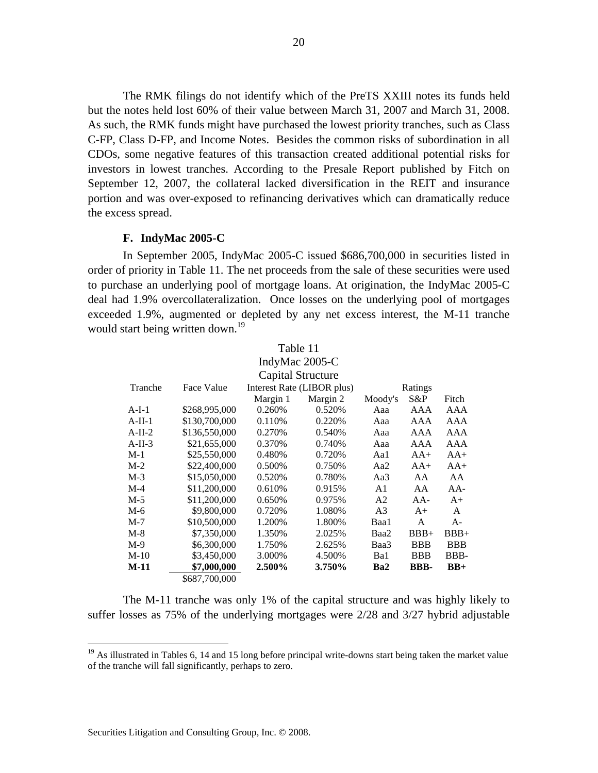The RMK filings do not identify which of the PreTS XXIII notes its funds held but the notes held lost 60% of their value between March 31, 2007 and March 31, 2008. As such, the RMK funds might have purchased the lowest priority tranches, such as Class C-FP, Class D-FP, and Income Notes. Besides the common risks of subordination in all CDOs, some negative features of this transaction created additional potential risks for investors in lowest tranches. According to the Presale Report published by Fitch on September 12, 2007, the collateral lacked diversification in the REIT and insurance portion and was over-exposed to refinancing derivatives which can dramatically reduce the excess spread.

#### **F. IndyMac 2005-C**

In September 2005, IndyMac 2005-C issued \$686,700,000 in securities listed in order of priority in Table 11. The net proceeds from the sale of these securities were used to purchase an underlying pool of mortgage loans. At origination, the IndyMac 2005-C deal had 1.9% overcollateralization. Once losses on the underlying pool of mortgages exceeded 1.9%, augmented or depleted by any net excess interest, the M-11 tranche would start being written down.<sup>19</sup>

|          |                | Table 11 |                            |                |             |            |  |
|----------|----------------|----------|----------------------------|----------------|-------------|------------|--|
|          | IndyMac 2005-C |          |                            |                |             |            |  |
|          |                |          | Capital Structure          |                |             |            |  |
| Tranche  | Face Value     |          | Interest Rate (LIBOR plus) | Ratings        |             |            |  |
|          |                | Margin 1 | Margin 2                   | Moody's        | S&P         | Fitch      |  |
| $A-I-1$  | \$268,995,000  | 0.260%   | 0.520%                     | Aaa            | AAA         | AAA        |  |
| $A-II-1$ | \$130,700,000  | 0.110%   | 0.220\%                    | Aaa            | AAA         | AAA        |  |
| $A-II-2$ | \$136,550,000  | 0.270%   | 0.540%                     | Aaa            | AAA         | <b>AAA</b> |  |
| $A-II-3$ | \$21,655,000   | 0.370%   | 0.740%                     | Aaa            | AAA         | AAA        |  |
| $M-1$    | \$25,550,000   | 0.480%   | 0.720%                     | Aa1            | $AA+$       | $AA+$      |  |
| $M-2$    | \$22,400,000   | 0.500%   | 0.750%                     | Aa2            | $AA+$       | $AA+$      |  |
| $M-3$    | \$15,050,000   | 0.520%   | 0.780%                     | Aa3            | AA          | AA         |  |
| $M-4$    | \$11,200,000   | 0.610%   | 0.915%                     | A1             | AA          | AA-        |  |
| $M-5$    | \$11,200,000   | 0.650%   | 0.975%                     | A2             | $AA-$       | $A+$       |  |
| $M-6$    | \$9,800,000    | 0.720\%  | 1.080%                     | A <sub>3</sub> | $A+$        | A          |  |
| $M-7$    | \$10,500,000   | 1.200%   | 1.800%                     | Baa1           | A           | $A-$       |  |
| $M-8$    | \$7,350,000    | 1.350%   | 2.025%                     | Baa2           | $BBB+$      | $BBB+$     |  |
| $M-9$    | \$6,300,000    | 1.750%   | 2.625%                     | Baa3           | <b>BBB</b>  | <b>BBB</b> |  |
| $M-10$   | \$3,450,000    | 3.000%   | 4.500%                     | Ba1            | <b>BBB</b>  | BBB-       |  |
| $M-11$   | \$7,000,000    | 2.500%   | 3.750%                     | Ba2            | <b>BBB-</b> | $BB+$      |  |
|          | \$687,700,000  |          |                            |                |             |            |  |

The M-11 tranche was only 1% of the capital structure and was highly likely to suffer losses as 75% of the underlying mortgages were 2/28 and 3/27 hybrid adjustable

<sup>&</sup>lt;sup>19</sup> As illustrated in Tables 6, 14 and 15 long before principal write-downs start being taken the market value of the tranche will fall significantly, perhaps to zero.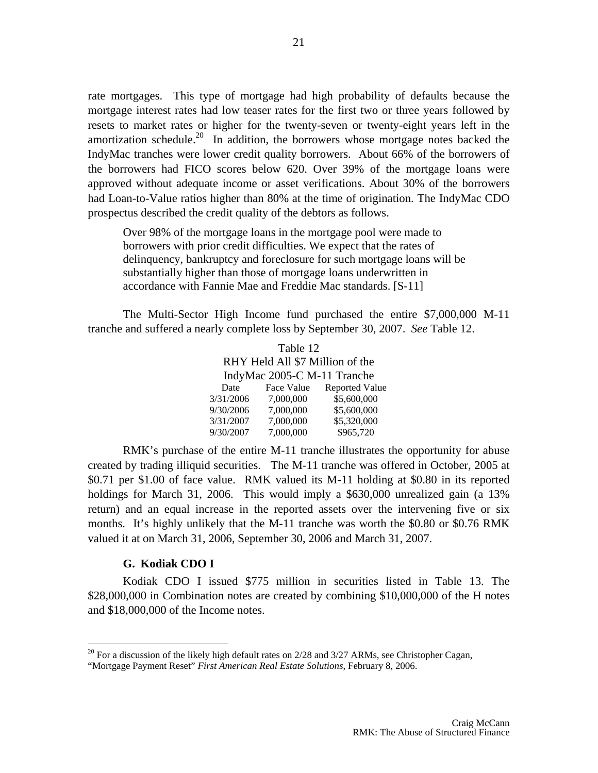rate mortgages. This type of mortgage had high probability of defaults because the mortgage interest rates had low teaser rates for the first two or three years followed by resets to market rates or higher for the twenty-seven or twenty-eight years left in the amortization schedule.<sup>20</sup> In addition, the borrowers whose mortgage notes backed the IndyMac tranches were lower credit quality borrowers. About 66% of the borrowers of the borrowers had FICO scores below 620. Over 39% of the mortgage loans were approved without adequate income or asset verifications. About 30% of the borrowers had Loan-to-Value ratios higher than 80% at the time of origination. The IndyMac CDO prospectus described the credit quality of the debtors as follows.

Over 98% of the mortgage loans in the mortgage pool were made to borrowers with prior credit difficulties. We expect that the rates of delinquency, bankruptcy and foreclosure for such mortgage loans will be substantially higher than those of mortgage loans underwritten in accordance with Fannie Mae and Freddie Mac standards. [S-11]

The Multi-Sector High Income fund purchased the entire \$7,000,000 M-11 tranche and suffered a nearly complete loss by September 30, 2007. *See* Table 12.

| Table 12                        |            |                       |  |  |  |
|---------------------------------|------------|-----------------------|--|--|--|
| RHY Held All \$7 Million of the |            |                       |  |  |  |
| IndyMac 2005-C M-11 Tranche     |            |                       |  |  |  |
| Date                            | Face Value | <b>Reported Value</b> |  |  |  |
| 3/31/2006                       | 7,000,000  | \$5,600,000           |  |  |  |
| 9/30/2006                       | 7,000,000  | \$5,600,000           |  |  |  |
| 3/31/2007                       | 7,000,000  | \$5,320,000           |  |  |  |
| 9/30/2007                       | 7,000,000  | \$965,720             |  |  |  |

RMK's purchase of the entire M-11 tranche illustrates the opportunity for abuse created by trading illiquid securities. The M-11 tranche was offered in October, 2005 at \$0.71 per \$1.00 of face value. RMK valued its M-11 holding at \$0.80 in its reported holdings for March 31, 2006. This would imply a \$630,000 unrealized gain (a 13% return) and an equal increase in the reported assets over the intervening five or six months. It's highly unlikely that the M-11 tranche was worth the \$0.80 or \$0.76 RMK valued it at on March 31, 2006, September 30, 2006 and March 31, 2007.

## **G. Kodiak CDO I**

 $\overline{a}$ 

Kodiak CDO I issued \$775 million in securities listed in Table 13. The \$28,000,000 in Combination notes are created by combining \$10,000,000 of the H notes and \$18,000,000 of the Income notes.

 $20$  For a discussion of the likely high default rates on  $2/28$  and  $3/27$  ARMs, see Christopher Cagan,

<sup>&</sup>quot;Mortgage Payment Reset" *First American Real Estate Solutions*, February 8, 2006.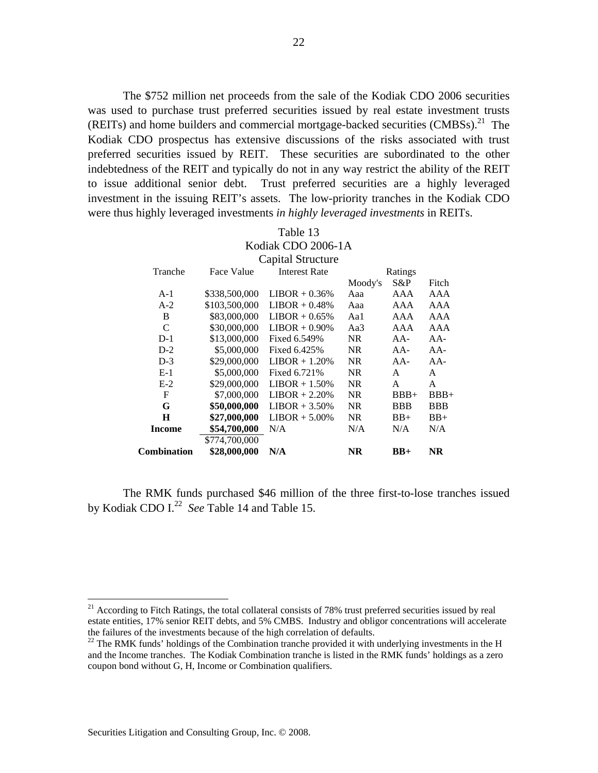The \$752 million net proceeds from the sale of the Kodiak CDO 2006 securities was used to purchase trust preferred securities issued by real estate investment trusts (REITs) and home builders and commercial mortgage-backed securities  $(CMBSS)^{21}$  The Kodiak CDO prospectus has extensive discussions of the risks associated with trust preferred securities issued by REIT. These securities are subordinated to the other indebtedness of the REIT and typically do not in any way restrict the ability of the REIT to issue additional senior debt. Trust preferred securities are a highly leveraged investment in the issuing REIT's assets. The low-priority tranches in the Kodiak CDO were thus highly leveraged investments *in highly leveraged investments* in REITs.

#### Table 13 Kodiak CDO 2006-1A  $C$ apital Structure

|                    |               | Capital Structure    |           |            |            |
|--------------------|---------------|----------------------|-----------|------------|------------|
| Tranche            | Face Value    | <b>Interest Rate</b> |           | Ratings    |            |
|                    |               |                      | Moody's   | S&P        | Fitch      |
| $A-1$              | \$338,500,000 | $LIBOR + 0.36\%$     | Aaa       | AAA        | AAA        |
| $A-2$              | \$103,500,000 | $LIBOR + 0.48\%$     | Aaa       | AAA        | AAA        |
| B                  | \$83,000,000  | $LIBOR + 0.65%$      | Aa1       | AAA        | AAA        |
| C                  | \$30,000,000  | $LIBOR + 0.90\%$     | Aa3       | AAA        | AAA        |
| $D-1$              | \$13,000,000  | Fixed 6.549%         | <b>NR</b> | $AA-$      | $AA-$      |
| $D-2$              | \$5,000,000   | Fixed 6.425%         | NR.       | $AA-$      | $AA-$      |
| $D-3$              | \$29,000,000  | $LIBOR + 1.20\%$     | NR.       | $AA-$      | $AA-$      |
| $E-1$              | \$5,000,000   | Fixed 6.721%         | NR.       | A          | A          |
| $E-2$              | \$29,000,000  | $LIBOR + 1.50\%$     | NR.       | A          | A          |
| F                  | \$7,000,000   | $LIBOR + 2.20%$      | NR.       | $BBB+$     | $BBB+$     |
| G                  | \$50,000,000  | $LIBOR + 3.50\%$     | <b>NR</b> | <b>BBB</b> | <b>BBB</b> |
| Н                  | \$27,000,000  | $LIBOR + 5.00\%$     | <b>NR</b> | $BB+$      | $BB+$      |
| Income             | \$54,700,000  | N/A                  | N/A       | N/A        | N/A        |
|                    | \$774,700,000 |                      |           |            |            |
| <b>Combination</b> | \$28,000,000  | N/A                  | <b>NR</b> | $BB+$      | <b>NR</b>  |

The RMK funds purchased \$46 million of the three first-to-lose tranches issued by Kodiak CDO I.22 *See* Table 14 and Table 15.

 $21$  According to Fitch Ratings, the total collateral consists of 78% trust preferred securities issued by real estate entities, 17% senior REIT debts, and 5% CMBS. Industry and obligor concentrations will accelerate the failures of the investments because of the high correlation of defaults.

 $^{22}$  The RMK funds' holdings of the Combination tranche provided it with underlying investments in the H and the Income tranches. The Kodiak Combination tranche is listed in the RMK funds' holdings as a zero coupon bond without G, H, Income or Combination qualifiers.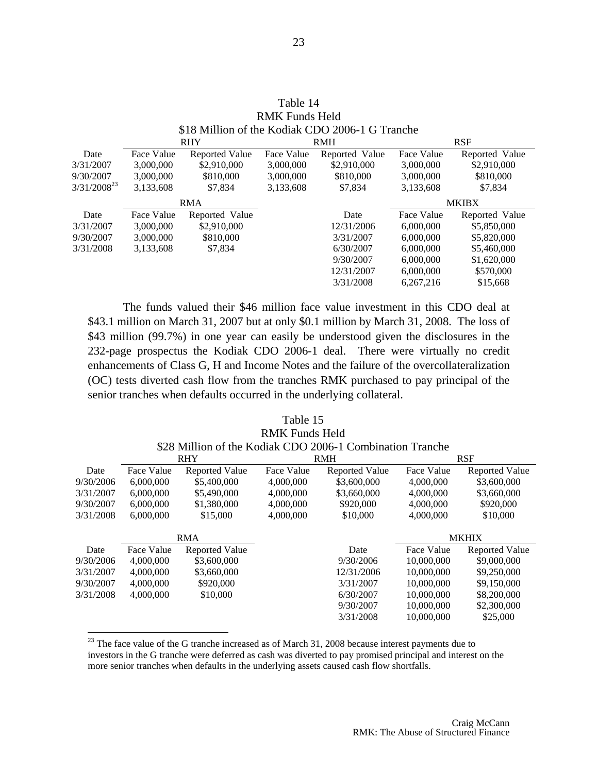|                  | <b>RHY</b> |                       | <b>RMH</b> |                | <b>RSF</b>   |                |
|------------------|------------|-----------------------|------------|----------------|--------------|----------------|
| Date             | Face Value | <b>Reported Value</b> | Face Value | Reported Value | Face Value   | Reported Value |
| 3/31/2007        | 3,000,000  | \$2,910,000           | 3.000.000  | \$2,910,000    | 3,000,000    | \$2,910,000    |
| 9/30/2007        | 3,000,000  | \$810,000             | 3,000,000  | \$810,000      | 3,000,000    | \$810,000      |
| $3/31/2008^{23}$ | 3,133,608  | \$7,834               | 3,133,608  | \$7,834        | 3,133,608    | \$7,834        |
|                  | <b>RMA</b> |                       |            |                | <b>MKIBX</b> |                |
| Date             | Face Value | Reported Value        |            | Date           | Face Value   | Reported Value |
| 3/31/2007        | 3,000,000  | \$2,910,000           |            | 12/31/2006     | 6.000,000    | \$5,850,000    |
| 9/30/2007        | 3,000,000  | \$810,000             |            | 3/31/2007      | 6.000,000    | \$5,820,000    |
| 3/31/2008        | 3,133,608  | \$7,834               |            | 6/30/2007      | 6.000.000    | \$5,460,000    |
|                  |            |                       |            | 9/30/2007      | 6.000,000    | \$1,620,000    |
|                  |            |                       |            | 12/31/2007     | 6.000.000    | \$570,000      |
|                  |            |                       |            | 3/31/2008      | 6,267,216    | \$15,668       |

|            | RMK Funds Held                                  |  |
|------------|-------------------------------------------------|--|
|            | \$18 Million of the Kodiak CDO 2006-1 G Tranche |  |
| <b>DUV</b> | DMU                                             |  |

Table 14

The funds valued their \$46 million face value investment in this CDO deal at \$43.1 million on March 31, 2007 but at only \$0.1 million by March 31, 2008. The loss of \$43 million (99.7%) in one year can easily be understood given the disclosures in the 232-page prospectus the Kodiak CDO 2006-1 deal. There were virtually no credit enhancements of Class G, H and Income Notes and the failure of the overcollateralization (OC) tests diverted cash flow from the tranches RMK purchased to pay principal of the senior tranches when defaults occurred in the underlying collateral.

| Table 15                                                  |
|-----------------------------------------------------------|
| RMK Funds Held                                            |
| \$28 Million of the Kodiak CDO 2006-1 Combination Tranche |

|           | <b>RHY</b> |                       | <b>RMH</b> |                       | <b>RSF</b>   |                       |
|-----------|------------|-----------------------|------------|-----------------------|--------------|-----------------------|
| Date      | Face Value | <b>Reported Value</b> | Face Value | <b>Reported Value</b> | Face Value   | <b>Reported Value</b> |
| 9/30/2006 | 6,000,000  | \$5,400,000           | 4,000,000  | \$3,600,000           | 4,000,000    | \$3,600,000           |
| 3/31/2007 | 6.000.000  | \$5,490,000           | 4,000,000  | \$3,660,000           | 4,000,000    | \$3,660,000           |
| 9/30/2007 | 6.000.000  | \$1,380,000           | 4.000.000  | \$920,000             | 4,000,000    | \$920,000             |
| 3/31/2008 | 6,000,000  | \$15,000              | 4,000,000  | \$10,000              | 4,000,000    | \$10,000              |
|           |            |                       |            |                       |              |                       |
|           | <b>RMA</b> |                       |            |                       | <b>MKHIX</b> |                       |
| Date      | Face Value | <b>Reported Value</b> |            | Date                  | Face Value   | <b>Reported Value</b> |
| 9/30/2006 | 4,000,000  | \$3,600,000           |            | 9/30/2006             | 10,000,000   | \$9,000,000           |
| 3/31/2007 | 4,000,000  | \$3,660,000           |            | 12/31/2006            | 10,000,000   | \$9,250,000           |
| 9/30/2007 | 4,000,000  | \$920,000             |            | 3/31/2007             | 10,000,000   | \$9,150,000           |
| 3/31/2008 | 4,000,000  | \$10,000              |            | 6/30/2007             | 10,000,000   | \$8,200,000           |
|           |            |                       |            | 9/30/2007             | 10,000,000   | \$2,300,000           |
|           |            |                       |            | 3/31/2008             | 10,000,000   | \$25,000              |

 $^{23}$  The face value of the G tranche increased as of March 31, 2008 because interest payments due to investors in the G tranche were deferred as cash was diverted to pay promised principal and interest on the more senior tranches when defaults in the underlying assets caused cash flow shortfalls.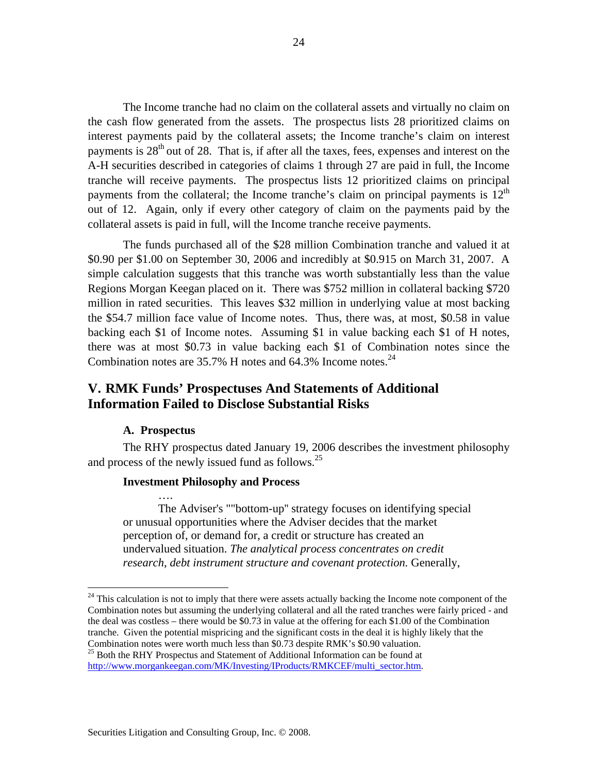The Income tranche had no claim on the collateral assets and virtually no claim on the cash flow generated from the assets. The prospectus lists 28 prioritized claims on interest payments paid by the collateral assets; the Income tranche's claim on interest payments is  $28<sup>th</sup>$  out of 28. That is, if after all the taxes, fees, expenses and interest on the A-H securities described in categories of claims 1 through 27 are paid in full, the Income tranche will receive payments. The prospectus lists 12 prioritized claims on principal payments from the collateral; the Income tranche's claim on principal payments is  $12<sup>th</sup>$ out of 12. Again, only if every other category of claim on the payments paid by the collateral assets is paid in full, will the Income tranche receive payments.

The funds purchased all of the \$28 million Combination tranche and valued it at \$0.90 per \$1.00 on September 30, 2006 and incredibly at \$0.915 on March 31, 2007. A simple calculation suggests that this tranche was worth substantially less than the value Regions Morgan Keegan placed on it. There was \$752 million in collateral backing \$720 million in rated securities. This leaves \$32 million in underlying value at most backing the \$54.7 million face value of Income notes. Thus, there was, at most, \$0.58 in value backing each \$1 of Income notes. Assuming \$1 in value backing each \$1 of H notes, there was at most \$0.73 in value backing each \$1 of Combination notes since the Combination notes are 35.7% H notes and  $64.3\%$  Income notes.<sup>24</sup>

# **V. RMK Funds' Prospectuses And Statements of Additional Information Failed to Disclose Substantial Risks**

#### **A. Prospectus**

….

1

The RHY prospectus dated January 19, 2006 describes the investment philosophy and process of the newly issued fund as follows.25

#### **Investment Philosophy and Process**

The Adviser's ""bottom-up'' strategy focuses on identifying special or unusual opportunities where the Adviser decides that the market perception of, or demand for, a credit or structure has created an undervalued situation. *The analytical process concentrates on credit research, debt instrument structure and covenant protection.* Generally,

 $24$  This calculation is not to imply that there were assets actually backing the Income note component of the Combination notes but assuming the underlying collateral and all the rated tranches were fairly priced - and the deal was costless – there would be \$0.73 in value at the offering for each \$1.00 of the Combination tranche. Given the potential mispricing and the significant costs in the deal it is highly likely that the Combination notes were worth much less than \$0.73 despite RMK's \$0.90 valuation.

<sup>&</sup>lt;sup>25</sup> Both the RHY Prospectus and Statement of Additional Information can be found at http://www.morgankeegan.com/MK/Investing/IProducts/RMKCEF/multi\_sector.htm.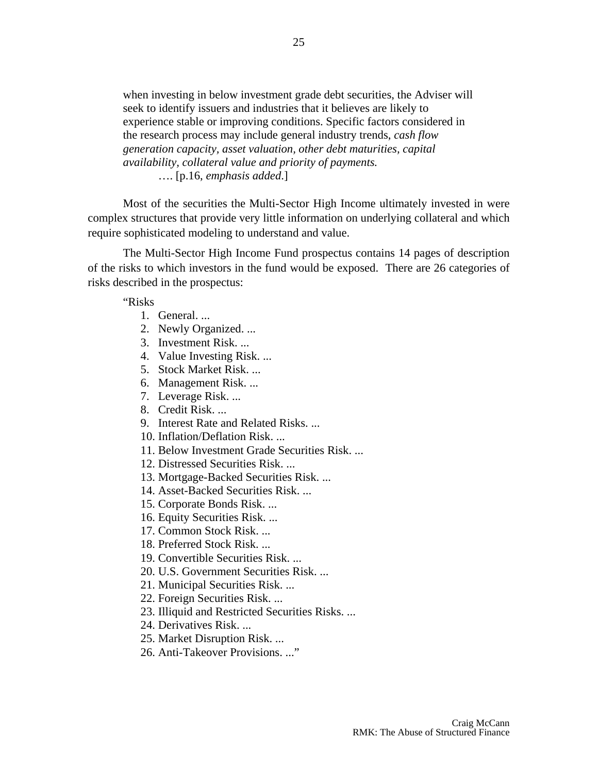when investing in below investment grade debt securities, the Adviser will seek to identify issuers and industries that it believes are likely to experience stable or improving conditions. Specific factors considered in the research process may include general industry trends, *cash flow generation capacity, asset valuation, other debt maturities, capital availability, collateral value and priority of payments.* …. [p.16, *emphasis added*.]

Most of the securities the Multi-Sector High Income ultimately invested in were complex structures that provide very little information on underlying collateral and which require sophisticated modeling to understand and value.

The Multi-Sector High Income Fund prospectus contains 14 pages of description of the risks to which investors in the fund would be exposed. There are 26 categories of risks described in the prospectus:

"Risks

- 1. General. ...
- 2. Newly Organized. ...
- 3. Investment Risk. ...
- 4. Value Investing Risk. ...
- 5. Stock Market Risk. ...
- 6. Management Risk. ...
- 7. Leverage Risk. ...
- 8. Credit Risk. ...
- 9. Interest Rate and Related Risks. ...
- 10. Inflation/Deflation Risk. ...
- 11. Below Investment Grade Securities Risk. ...
- 12. Distressed Securities Risk. ...
- 13. Mortgage-Backed Securities Risk. ...
- 14. Asset-Backed Securities Risk. ...
- 15. Corporate Bonds Risk. ...
- 16. Equity Securities Risk. ...
- 17. Common Stock Risk. ...
- 18. Preferred Stock Risk. ...
- 19. Convertible Securities Risk. ...
- 20. U.S. Government Securities Risk. ...
- 21. Municipal Securities Risk. ...
- 22. Foreign Securities Risk. ...
- 23. Illiquid and Restricted Securities Risks. ...
- 24. Derivatives Risk. ...
- 25. Market Disruption Risk. ...
- 26. Anti-Takeover Provisions. ..."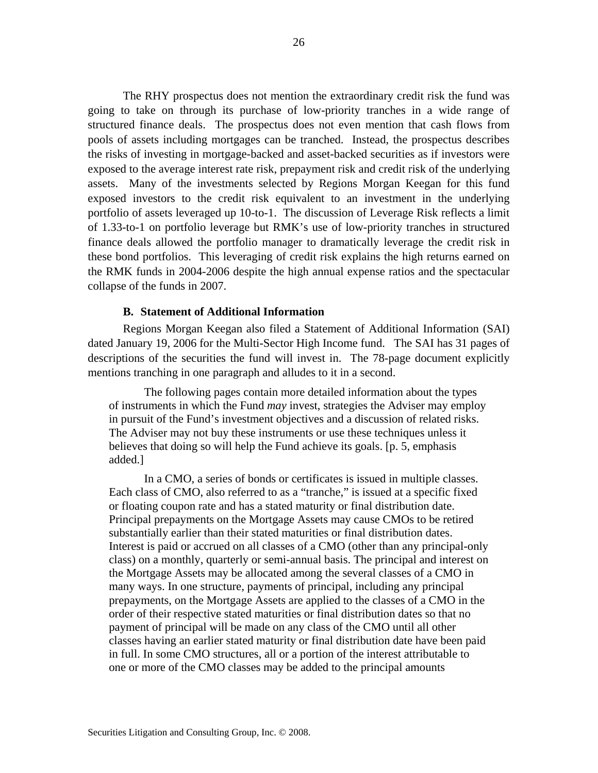The RHY prospectus does not mention the extraordinary credit risk the fund was going to take on through its purchase of low-priority tranches in a wide range of structured finance deals. The prospectus does not even mention that cash flows from pools of assets including mortgages can be tranched. Instead, the prospectus describes the risks of investing in mortgage-backed and asset-backed securities as if investors were exposed to the average interest rate risk, prepayment risk and credit risk of the underlying assets. Many of the investments selected by Regions Morgan Keegan for this fund exposed investors to the credit risk equivalent to an investment in the underlying portfolio of assets leveraged up 10-to-1. The discussion of Leverage Risk reflects a limit of 1.33-to-1 on portfolio leverage but RMK's use of low-priority tranches in structured finance deals allowed the portfolio manager to dramatically leverage the credit risk in these bond portfolios. This leveraging of credit risk explains the high returns earned on the RMK funds in 2004-2006 despite the high annual expense ratios and the spectacular collapse of the funds in 2007.

#### **B. Statement of Additional Information**

Regions Morgan Keegan also filed a Statement of Additional Information (SAI) dated January 19, 2006 for the Multi-Sector High Income fund. The SAI has 31 pages of descriptions of the securities the fund will invest in. The 78-page document explicitly mentions tranching in one paragraph and alludes to it in a second.

The following pages contain more detailed information about the types of instruments in which the Fund *may* invest, strategies the Adviser may employ in pursuit of the Fund's investment objectives and a discussion of related risks. The Adviser may not buy these instruments or use these techniques unless it believes that doing so will help the Fund achieve its goals. [p. 5, emphasis added.]

In a CMO, a series of bonds or certificates is issued in multiple classes. Each class of CMO, also referred to as a "tranche," is issued at a specific fixed or floating coupon rate and has a stated maturity or final distribution date. Principal prepayments on the Mortgage Assets may cause CMOs to be retired substantially earlier than their stated maturities or final distribution dates. Interest is paid or accrued on all classes of a CMO (other than any principal-only class) on a monthly, quarterly or semi-annual basis. The principal and interest on the Mortgage Assets may be allocated among the several classes of a CMO in many ways. In one structure, payments of principal, including any principal prepayments, on the Mortgage Assets are applied to the classes of a CMO in the order of their respective stated maturities or final distribution dates so that no payment of principal will be made on any class of the CMO until all other classes having an earlier stated maturity or final distribution date have been paid in full. In some CMO structures, all or a portion of the interest attributable to one or more of the CMO classes may be added to the principal amounts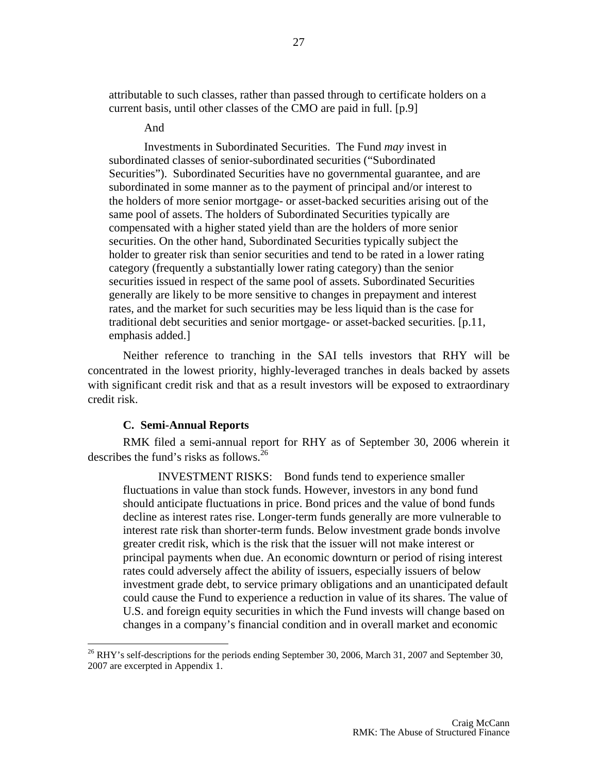attributable to such classes, rather than passed through to certificate holders on a current basis, until other classes of the CMO are paid in full. [p.9]

And

Investments in Subordinated Securities. The Fund *may* invest in subordinated classes of senior-subordinated securities ("Subordinated Securities"). Subordinated Securities have no governmental guarantee, and are subordinated in some manner as to the payment of principal and/or interest to the holders of more senior mortgage- or asset-backed securities arising out of the same pool of assets. The holders of Subordinated Securities typically are compensated with a higher stated yield than are the holders of more senior securities. On the other hand, Subordinated Securities typically subject the holder to greater risk than senior securities and tend to be rated in a lower rating category (frequently a substantially lower rating category) than the senior securities issued in respect of the same pool of assets. Subordinated Securities generally are likely to be more sensitive to changes in prepayment and interest rates, and the market for such securities may be less liquid than is the case for traditional debt securities and senior mortgage- or asset-backed securities. [p.11, emphasis added.]

Neither reference to tranching in the SAI tells investors that RHY will be concentrated in the lowest priority, highly-leveraged tranches in deals backed by assets with significant credit risk and that as a result investors will be exposed to extraordinary credit risk.

#### **C. Semi-Annual Reports**

 $\overline{a}$ 

RMK filed a semi-annual report for RHY as of September 30, 2006 wherein it describes the fund's risks as follows.<sup>26</sup>

INVESTMENT RISKS: Bond funds tend to experience smaller fluctuations in value than stock funds. However, investors in any bond fund should anticipate fluctuations in price. Bond prices and the value of bond funds decline as interest rates rise. Longer-term funds generally are more vulnerable to interest rate risk than shorter-term funds. Below investment grade bonds involve greater credit risk, which is the risk that the issuer will not make interest or principal payments when due. An economic downturn or period of rising interest rates could adversely affect the ability of issuers, especially issuers of below investment grade debt, to service primary obligations and an unanticipated default could cause the Fund to experience a reduction in value of its shares. The value of U.S. and foreign equity securities in which the Fund invests will change based on changes in a company's financial condition and in overall market and economic

<sup>&</sup>lt;sup>26</sup> RHY's self-descriptions for the periods ending September 30, 2006, March 31, 2007 and September 30, 2007 are excerpted in Appendix 1.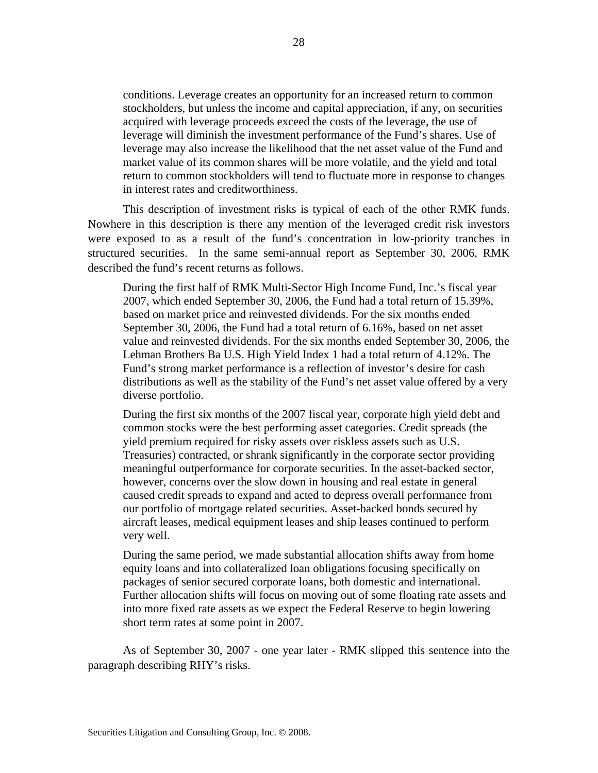conditions. Leverage creates an opportunity for an increased return to common stockholders, but unless the income and capital appreciation, if any, on securities acquired with leverage proceeds exceed the costs of the leverage, the use of leverage will diminish the investment performance of the Fund's shares. Use of leverage may also increase the likelihood that the net asset value of the Fund and market value of its common shares will be more volatile, and the yield and total return to common stockholders will tend to fluctuate more in response to changes in interest rates and creditworthiness.

This description of investment risks is typical of each of the other RMK funds. Nowhere in this description is there any mention of the leveraged credit risk investors were exposed to as a result of the fund's concentration in low-priority tranches in structured securities. In the same semi-annual report as September 30, 2006, RMK described the fund's recent returns as follows.

During the first half of RMK Multi-Sector High Income Fund, Inc.'s fiscal year 2007, which ended September 30, 2006, the Fund had a total return of 15.39%, based on market price and reinvested dividends. For the six months ended September 30, 2006, the Fund had a total return of 6.16%, based on net asset value and reinvested dividends. For the six months ended September 30, 2006, the Lehman Brothers Ba U.S. High Yield Index 1 had a total return of 4.12%. The Fund's strong market performance is a reflection of investor's desire for cash distributions as well as the stability of the Fund's net asset value offered by a very diverse portfolio.

During the first six months of the 2007 fiscal year, corporate high yield debt and common stocks were the best performing asset categories. Credit spreads (the yield premium required for risky assets over riskless assets such as U.S. Treasuries) contracted, or shrank significantly in the corporate sector providing meaningful outperformance for corporate securities. In the asset-backed sector, however, concerns over the slow down in housing and real estate in general caused credit spreads to expand and acted to depress overall performance from our portfolio of mortgage related securities. Asset-backed bonds secured by aircraft leases, medical equipment leases and ship leases continued to perform very well.

During the same period, we made substantial allocation shifts away from home equity loans and into collateralized loan obligations focusing specifically on packages of senior secured corporate loans, both domestic and international. Further allocation shifts will focus on moving out of some floating rate assets and into more fixed rate assets as we expect the Federal Reserve to begin lowering short term rates at some point in 2007.

As of September 30, 2007 - one year later - RMK slipped this sentence into the paragraph describing RHY's risks.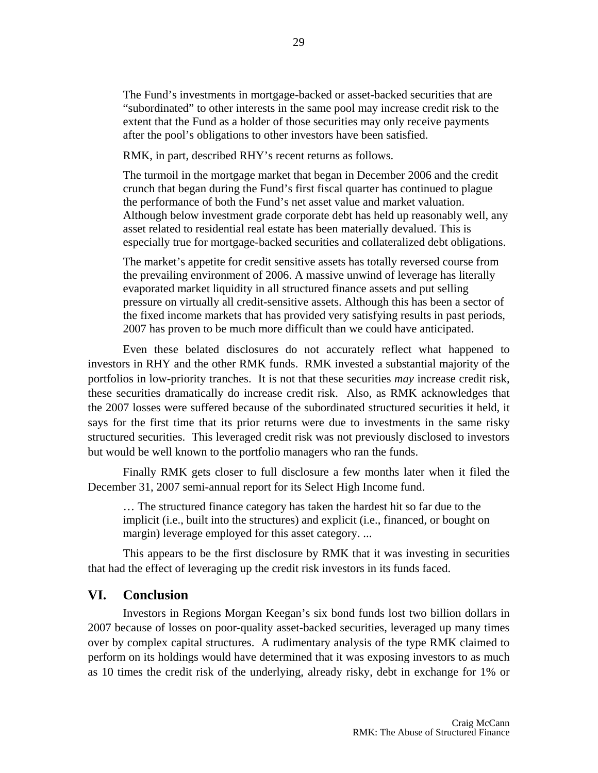The Fund's investments in mortgage-backed or asset-backed securities that are "subordinated" to other interests in the same pool may increase credit risk to the extent that the Fund as a holder of those securities may only receive payments after the pool's obligations to other investors have been satisfied.

RMK, in part, described RHY's recent returns as follows.

The turmoil in the mortgage market that began in December 2006 and the credit crunch that began during the Fund's first fiscal quarter has continued to plague the performance of both the Fund's net asset value and market valuation. Although below investment grade corporate debt has held up reasonably well, any asset related to residential real estate has been materially devalued. This is especially true for mortgage-backed securities and collateralized debt obligations.

The market's appetite for credit sensitive assets has totally reversed course from the prevailing environment of 2006. A massive unwind of leverage has literally evaporated market liquidity in all structured finance assets and put selling pressure on virtually all credit-sensitive assets. Although this has been a sector of the fixed income markets that has provided very satisfying results in past periods, 2007 has proven to be much more difficult than we could have anticipated.

Even these belated disclosures do not accurately reflect what happened to investors in RHY and the other RMK funds. RMK invested a substantial majority of the portfolios in low-priority tranches. It is not that these securities *may* increase credit risk, these securities dramatically do increase credit risk. Also, as RMK acknowledges that the 2007 losses were suffered because of the subordinated structured securities it held, it says for the first time that its prior returns were due to investments in the same risky structured securities. This leveraged credit risk was not previously disclosed to investors but would be well known to the portfolio managers who ran the funds.

Finally RMK gets closer to full disclosure a few months later when it filed the December 31, 2007 semi-annual report for its Select High Income fund.

… The structured finance category has taken the hardest hit so far due to the implicit (i.e., built into the structures) and explicit (i.e., financed, or bought on margin) leverage employed for this asset category. ...

This appears to be the first disclosure by RMK that it was investing in securities that had the effect of leveraging up the credit risk investors in its funds faced.

# **VI. Conclusion**

Investors in Regions Morgan Keegan's six bond funds lost two billion dollars in 2007 because of losses on poor-quality asset-backed securities, leveraged up many times over by complex capital structures. A rudimentary analysis of the type RMK claimed to perform on its holdings would have determined that it was exposing investors to as much as 10 times the credit risk of the underlying, already risky, debt in exchange for 1% or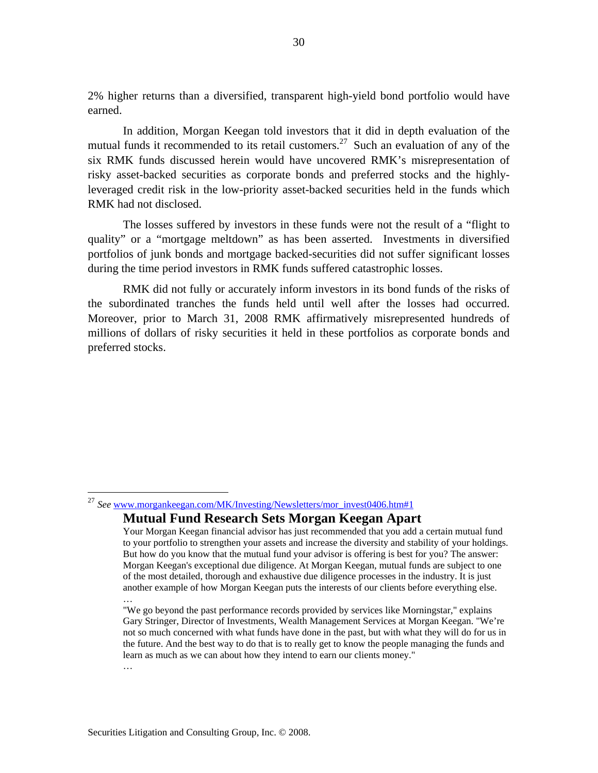2% higher returns than a diversified, transparent high-yield bond portfolio would have earned.

In addition, Morgan Keegan told investors that it did in depth evaluation of the mutual funds it recommended to its retail customers.<sup>27</sup> Such an evaluation of any of the six RMK funds discussed herein would have uncovered RMK's misrepresentation of risky asset-backed securities as corporate bonds and preferred stocks and the highlyleveraged credit risk in the low-priority asset-backed securities held in the funds which RMK had not disclosed.

The losses suffered by investors in these funds were not the result of a "flight to quality" or a "mortgage meltdown" as has been asserted. Investments in diversified portfolios of junk bonds and mortgage backed-securities did not suffer significant losses during the time period investors in RMK funds suffered catastrophic losses.

RMK did not fully or accurately inform investors in its bond funds of the risks of the subordinated tranches the funds held until well after the losses had occurred. Moreover, prior to March 31, 2008 RMK affirmatively misrepresented hundreds of millions of dollars of risky securities it held in these portfolios as corporate bonds and preferred stocks.

## **Mutual Fund Research Sets Morgan Keegan Apart**

<sup>&</sup>lt;sup>27</sup> See www.morgankeegan.com/MK/Investing/Newsletters/mor\_invest0406.htm#1

Your Morgan Keegan financial advisor has just recommended that you add a certain mutual fund to your portfolio to strengthen your assets and increase the diversity and stability of your holdings. But how do you know that the mutual fund your advisor is offering is best for you? The answer: Morgan Keegan's exceptional due diligence. At Morgan Keegan, mutual funds are subject to one of the most detailed, thorough and exhaustive due diligence processes in the industry. It is just another example of how Morgan Keegan puts the interests of our clients before everything else. …

<sup>&</sup>quot;We go beyond the past performance records provided by services like Morningstar," explains Gary Stringer, Director of Investments, Wealth Management Services at Morgan Keegan. "We're not so much concerned with what funds have done in the past, but with what they will do for us in the future. And the best way to do that is to really get to know the people managing the funds and learn as much as we can about how they intend to earn our clients money." …